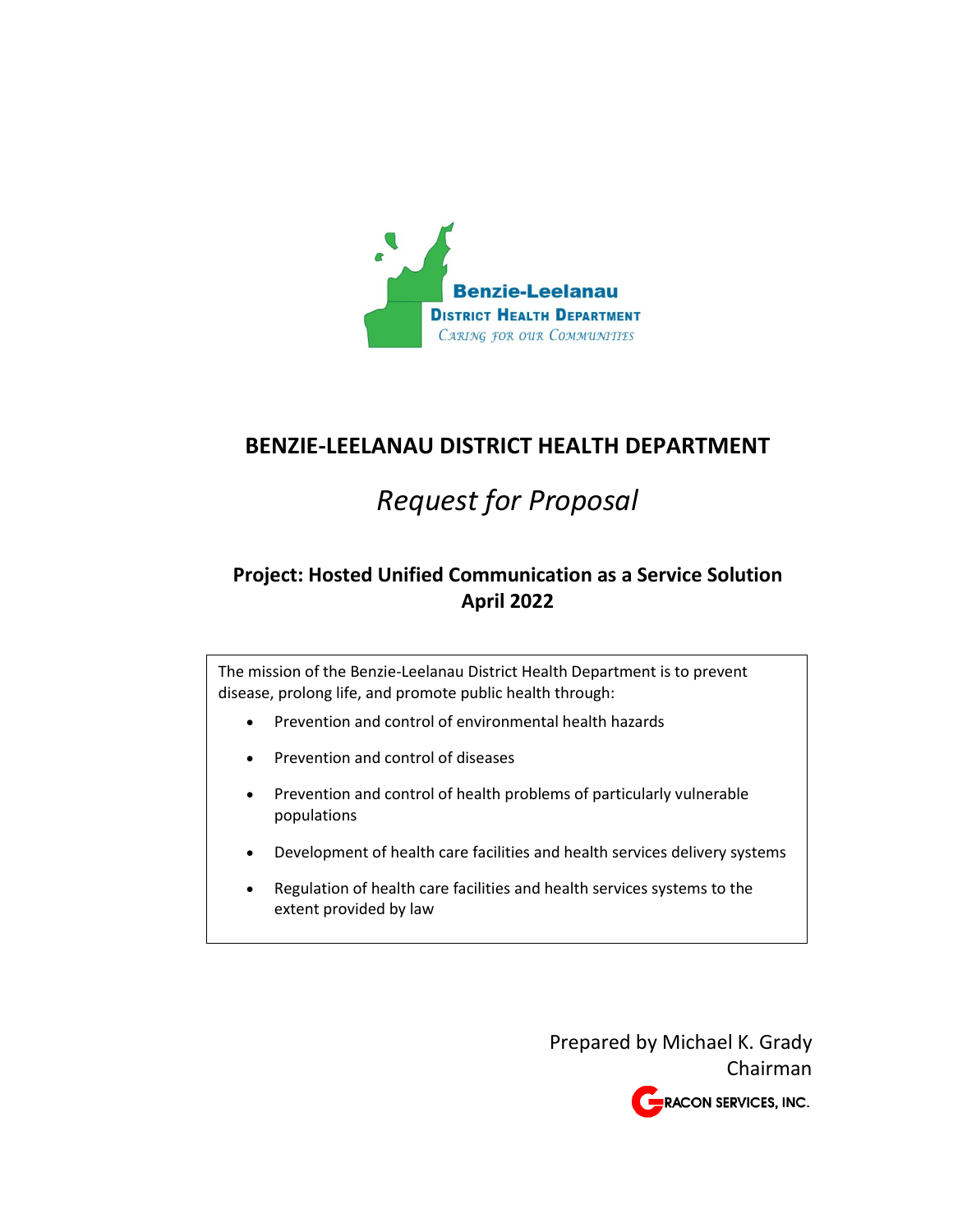

# **BENZIE-LEELANAU DISTRICT HEALTH DEPARTMENT**

# *Request for Proposal*

# **Project: Hosted Unified Communication as a Service Solution April 2022**

The mission of the Benzie-Leelanau District Health Department is to prevent disease, prolong life, and promote public health through:

- Prevention and control of environmental health hazards
- Prevention and control of diseases
- Prevention and control of health problems of particularly vulnerable populations
- Development of health care facilities and health services delivery systems
- Regulation of health care facilities and health services systems to the extent provided by law

Prepared by Michael K. Grady Chairman RACON SERVICES, INC.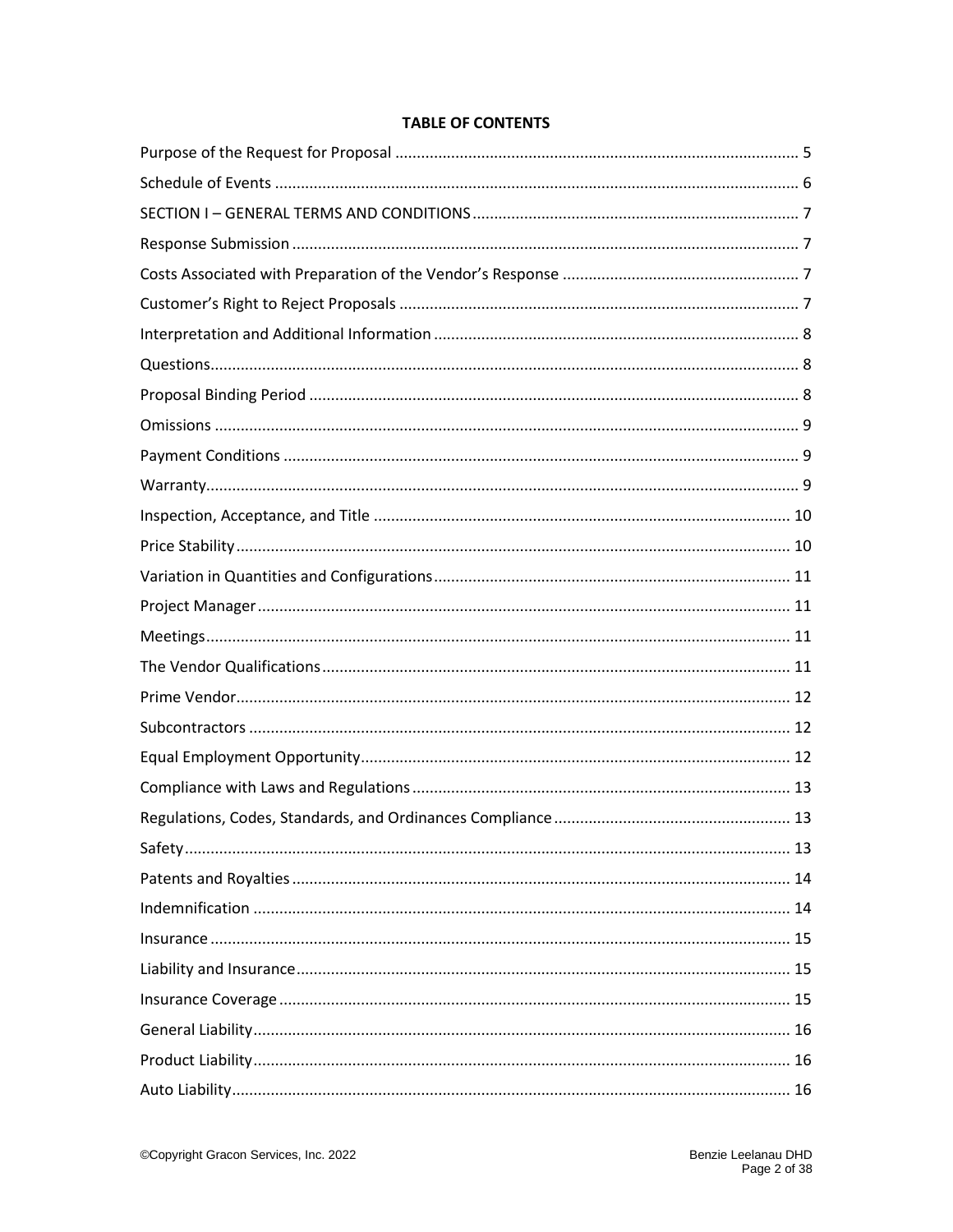#### **TABLE OF CONTENTS**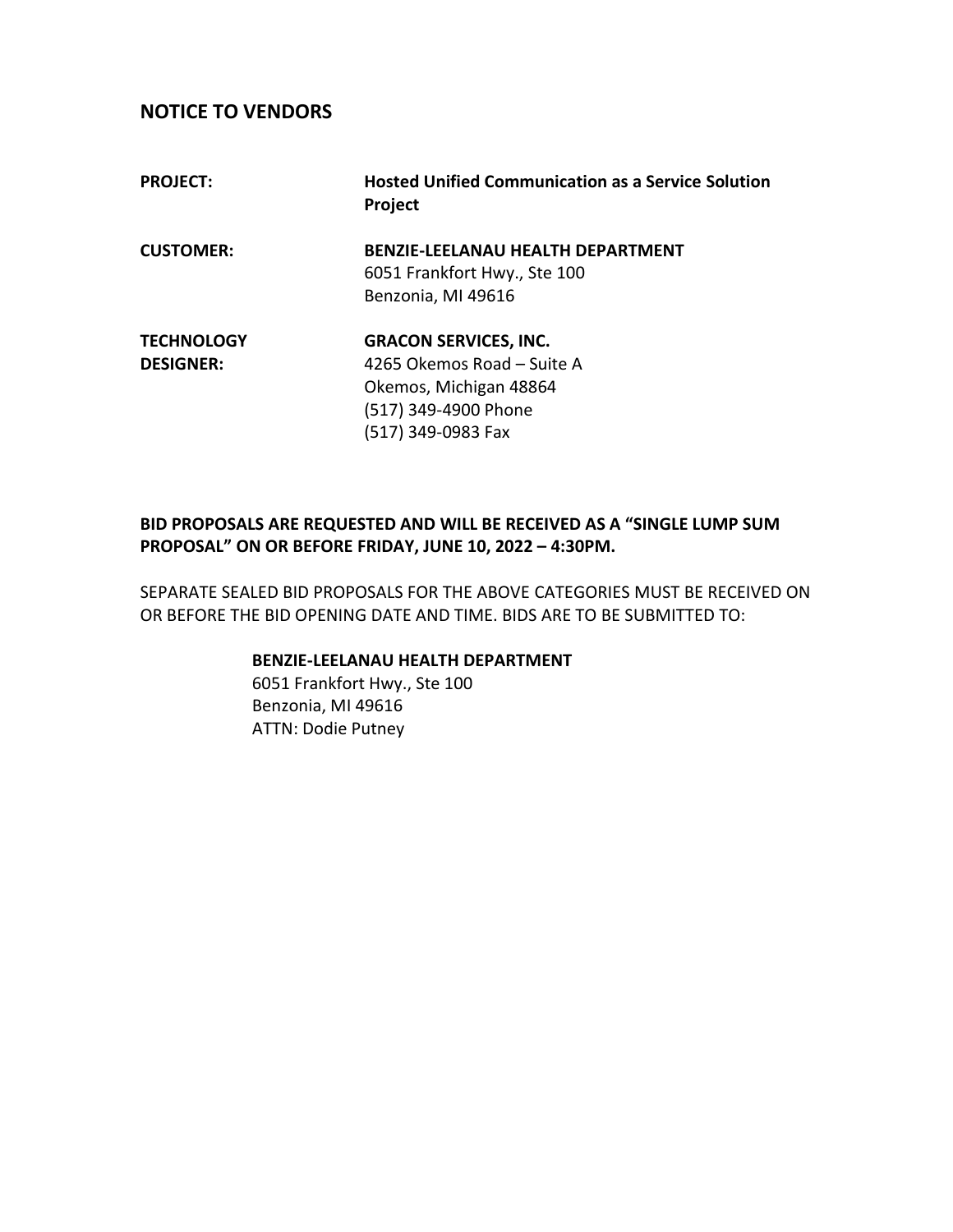# **NOTICE TO VENDORS**

| <b>PROJECT:</b>   | <b>Hosted Unified Communication as a Service Solution</b><br>Project |
|-------------------|----------------------------------------------------------------------|
| <b>CUSTOMER:</b>  | <b>BENZIE-LEELANAU HEALTH DEPARTMENT</b>                             |
|                   | 6051 Frankfort Hwy., Ste 100                                         |
|                   | Benzonia, MI 49616                                                   |
| <b>TECHNOLOGY</b> | <b>GRACON SERVICES, INC.</b>                                         |
| <b>DESIGNER:</b>  | 4265 Okemos Road - Suite A                                           |
|                   | Okemos, Michigan 48864                                               |
|                   | (517) 349-4900 Phone                                                 |
|                   | (517) 349-0983 Fax                                                   |

# **BID PROPOSALS ARE REQUESTED AND WILL BE RECEIVED AS A "SINGLE LUMP SUM PROPOSAL" ON OR BEFORE FRIDAY, JUNE 10, 2022 – 4:30PM.**

SEPARATE SEALED BID PROPOSALS FOR THE ABOVE CATEGORIES MUST BE RECEIVED ON OR BEFORE THE BID OPENING DATE AND TIME. BIDS ARE TO BE SUBMITTED TO:

# **BENZIE-LEELANAU HEALTH DEPARTMENT**

6051 Frankfort Hwy., Ste 100 Benzonia, MI 49616 ATTN: Dodie Putney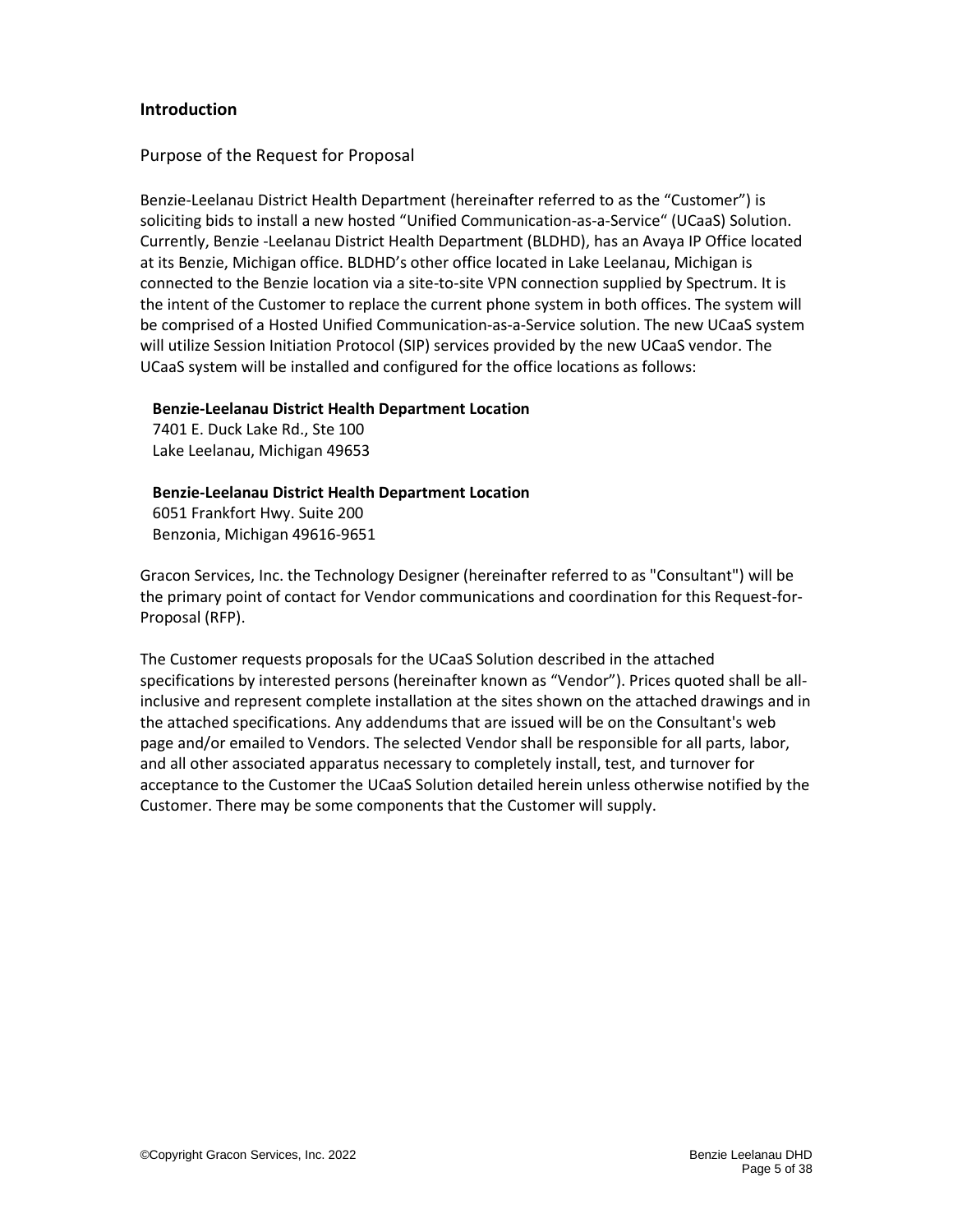#### **Introduction**

#### <span id="page-4-0"></span>Purpose of the Request for Proposal

Benzie-Leelanau District Health Department (hereinafter referred to as the "Customer") is soliciting bids to install a new hosted "Unified Communication-as-a-Service" (UCaaS) Solution. Currently, Benzie -Leelanau District Health Department (BLDHD), has an Avaya IP Office located at its Benzie, Michigan office. BLDHD's other office located in Lake Leelanau, Michigan is connected to the Benzie location via a site-to-site VPN connection supplied by Spectrum. It is the intent of the Customer to replace the current phone system in both offices. The system will be comprised of a Hosted Unified Communication-as-a-Service solution. The new UCaaS system will utilize Session Initiation Protocol (SIP) services provided by the new UCaaS vendor. The UCaaS system will be installed and configured for the office locations as follows:

#### **Benzie-Leelanau District Health Department Location**

7401 E. Duck Lake Rd., Ste 100 Lake Leelanau, Michigan 49653

# **Benzie-Leelanau District Health Department Location**

6051 Frankfort Hwy. Suite 200 Benzonia, Michigan 49616-9651

Gracon Services, Inc. the Technology Designer (hereinafter referred to as "Consultant") will be the primary point of contact for Vendor communications and coordination for this Request-for-Proposal (RFP).

The Customer requests proposals for the UCaaS Solution described in the attached specifications by interested persons (hereinafter known as "Vendor"). Prices quoted shall be allinclusive and represent complete installation at the sites shown on the attached drawings and in the attached specifications. Any addendums that are issued will be on the Consultant's web page and/or emailed to Vendors. The selected Vendor shall be responsible for all parts, labor, and all other associated apparatus necessary to completely install, test, and turnover for acceptance to the Customer the UCaaS Solution detailed herein unless otherwise notified by the Customer. There may be some components that the Customer will supply.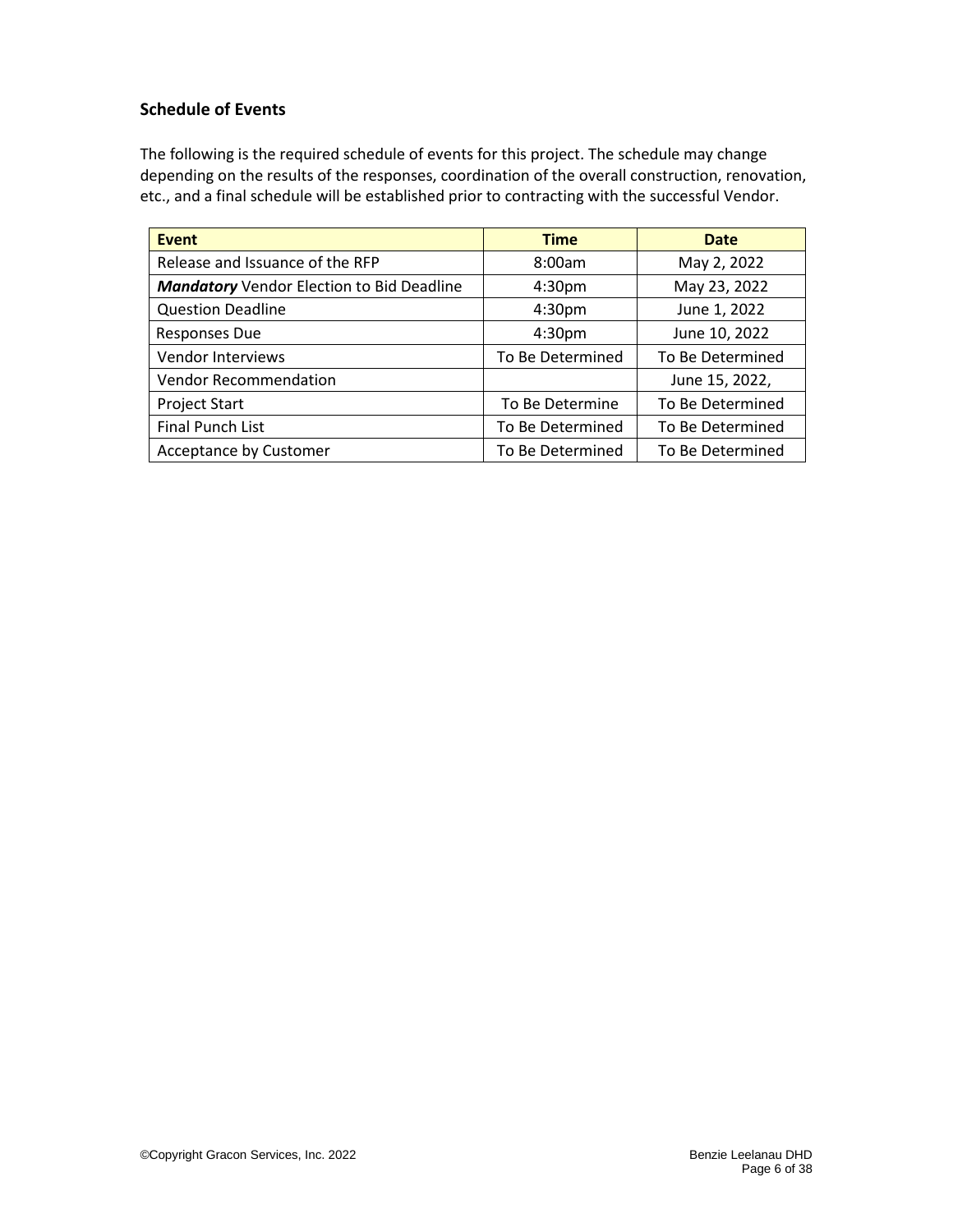#### <span id="page-5-0"></span>**Schedule of Events**

The following is the required schedule of events for this project. The schedule may change depending on the results of the responses, coordination of the overall construction, renovation, etc., and a final schedule will be established prior to contracting with the successful Vendor.

| <b>Event</b>                                     | <b>Time</b>        | <b>Date</b>      |
|--------------------------------------------------|--------------------|------------------|
| Release and Issuance of the RFP                  | 8:00am             | May 2, 2022      |
| <b>Mandatory</b> Vendor Election to Bid Deadline | 4:30 <sub>pm</sub> | May 23, 2022     |
| <b>Question Deadline</b>                         | 4:30 <sub>pm</sub> | June 1, 2022     |
| Responses Due                                    | 4:30pm             | June 10, 2022    |
| Vendor Interviews                                | To Be Determined   | To Be Determined |
| <b>Vendor Recommendation</b>                     |                    | June 15, 2022,   |
| <b>Project Start</b>                             | To Be Determine    | To Be Determined |
| <b>Final Punch List</b>                          | To Be Determined   | To Be Determined |
| Acceptance by Customer                           | To Be Determined   | To Be Determined |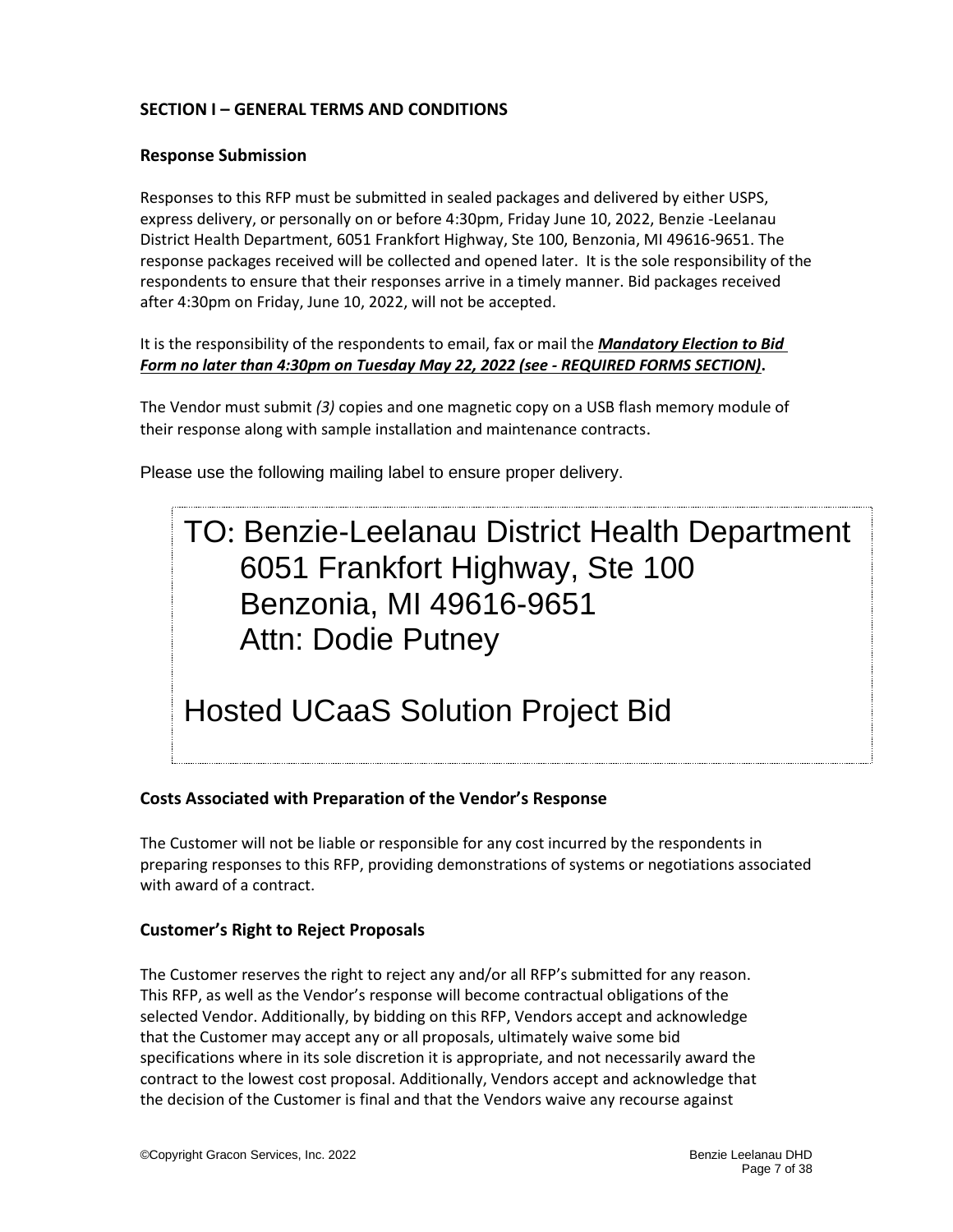# <span id="page-6-0"></span>**SECTION I – GENERAL TERMS AND CONDITIONS**

#### <span id="page-6-1"></span>**Response Submission**

Responses to this RFP must be submitted in sealed packages and delivered by either USPS, express delivery, or personally on or before 4:30pm, Friday June 10, 2022, Benzie -Leelanau District Health Department, 6051 Frankfort Highway, Ste 100, Benzonia, MI 49616-9651. The response packages received will be collected and opened later. It is the sole responsibility of the respondents to ensure that their responses arrive in a timely manner. Bid packages received after 4:30pm on Friday, June 10, 2022, will not be accepted.

#### It is the responsibility of the respondents to email, fax or mail the *Mandatory Election to Bid Form no later than 4:30pm on Tuesday May 22, 2022 (see - REQUIRED FORMS SECTION)***.**

The Vendor must submit *(3)* copies and one magnetic copy on a USB flash memory module of their response along with sample installation and maintenance contracts.

Please use the following mailing label to ensure proper delivery.

# TO: Benzie-Leelanau District Health Department 6051 Frankfort Highway, Ste 100 Benzonia, MI 49616-9651 Attn: Dodie Putney

# Hosted UCaaS Solution Project Bid

### <span id="page-6-2"></span>**Costs Associated with Preparation of the Vendor's Response**

The Customer will not be liable or responsible for any cost incurred by the respondents in preparing responses to this RFP, providing demonstrations of systems or negotiations associated with award of a contract.

#### <span id="page-6-3"></span>**Customer's Right to Reject Proposals**

The Customer reserves the right to reject any and/or all RFP's submitted for any reason. This RFP, as well as the Vendor's response will become contractual obligations of the selected Vendor. Additionally, by bidding on this RFP, Vendors accept and acknowledge that the Customer may accept any or all proposals, ultimately waive some bid specifications where in its sole discretion it is appropriate, and not necessarily award the contract to the lowest cost proposal. Additionally, Vendors accept and acknowledge that the decision of the Customer is final and that the Vendors waive any recourse against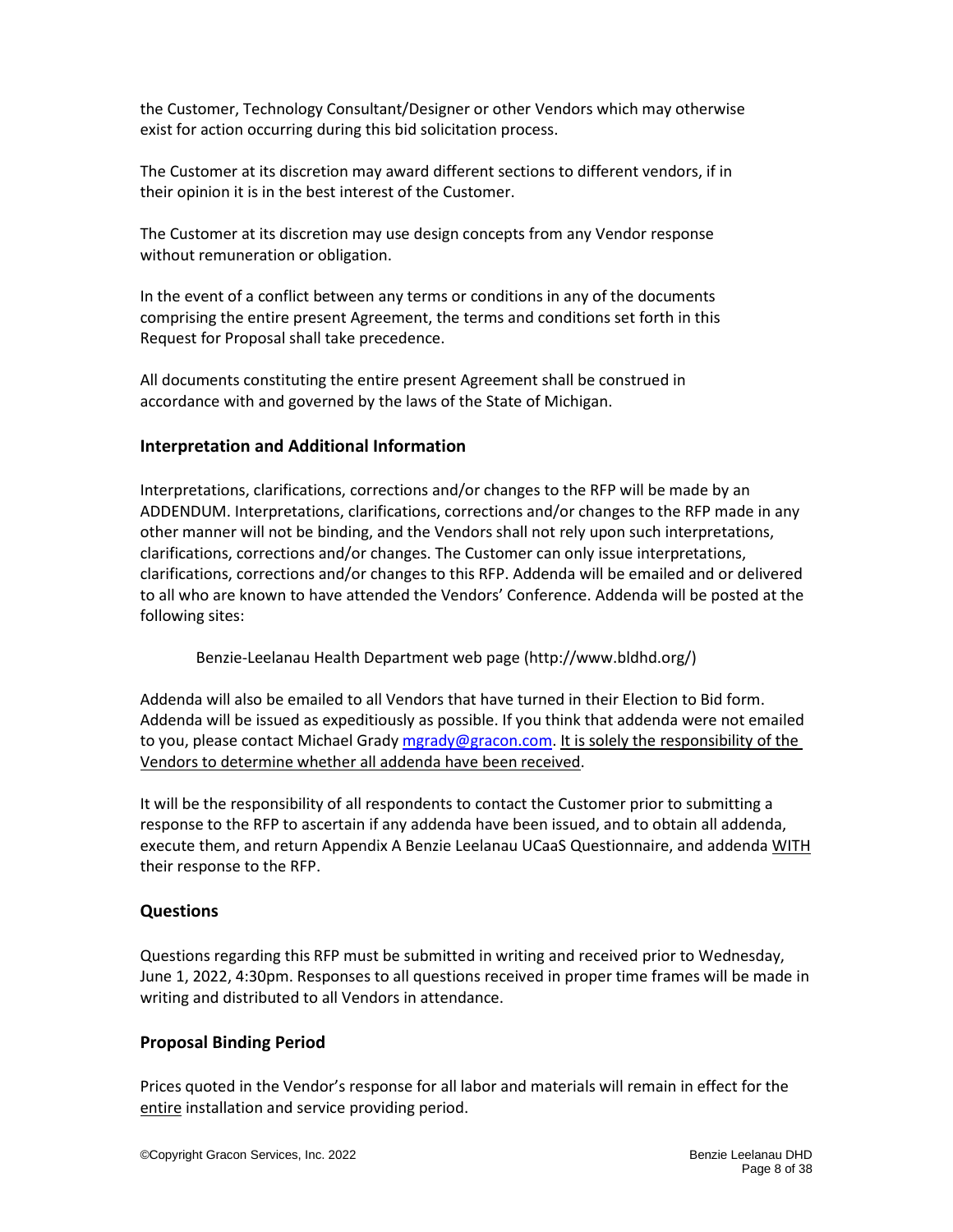the Customer, Technology Consultant/Designer or other Vendors which may otherwise exist for action occurring during this bid solicitation process.

The Customer at its discretion may award different sections to different vendors, if in their opinion it is in the best interest of the Customer.

The Customer at its discretion may use design concepts from any Vendor response without remuneration or obligation.

In the event of a conflict between any terms or conditions in any of the documents comprising the entire present Agreement, the terms and conditions set forth in this Request for Proposal shall take precedence.

All documents constituting the entire present Agreement shall be construed in accordance with and governed by the laws of the State of Michigan.

### <span id="page-7-0"></span>**Interpretation and Additional Information**

Interpretations, clarifications, corrections and/or changes to the RFP will be made by an ADDENDUM. Interpretations, clarifications, corrections and/or changes to the RFP made in any other manner will not be binding, and the Vendors shall not rely upon such interpretations, clarifications, corrections and/or changes. The Customer can only issue interpretations, clarifications, corrections and/or changes to this RFP. Addenda will be emailed and or delivered to all who are known to have attended the Vendors' Conference. Addenda will be posted at the following sites:

Benzie-Leelanau Health Department web page (http://www.bldhd.org/)

Addenda will also be emailed to all Vendors that have turned in their Election to Bid form. Addenda will be issued as expeditiously as possible. If you think that addenda were not emailed to you, please contact Michael Grad[y mgrady@gracon.com.](file://///GSIFS1/SHARED/Customers/Benzie-Leelanau%20Health%20Department/Manistee/Projects/2018/UCaaS%20Project/mgrady@gracon.com) It is solely the responsibility of the Vendors to determine whether all addenda have been received.

It will be the responsibility of all respondents to contact the Customer prior to submitting a response to the RFP to ascertain if any addenda have been issued, and to obtain all addenda, execute them, and return Appendix A Benzie Leelanau UCaaS Questionnaire, and addenda WITH their response to the RFP.

### <span id="page-7-1"></span>**Questions**

Questions regarding this RFP must be submitted in writing and received prior to Wednesday, June 1, 2022, 4:30pm. Responses to all questions received in proper time frames will be made in writing and distributed to all Vendors in attendance.

#### <span id="page-7-2"></span>**Proposal Binding Period**

Prices quoted in the Vendor's response for all labor and materials will remain in effect for the entire installation and service providing period.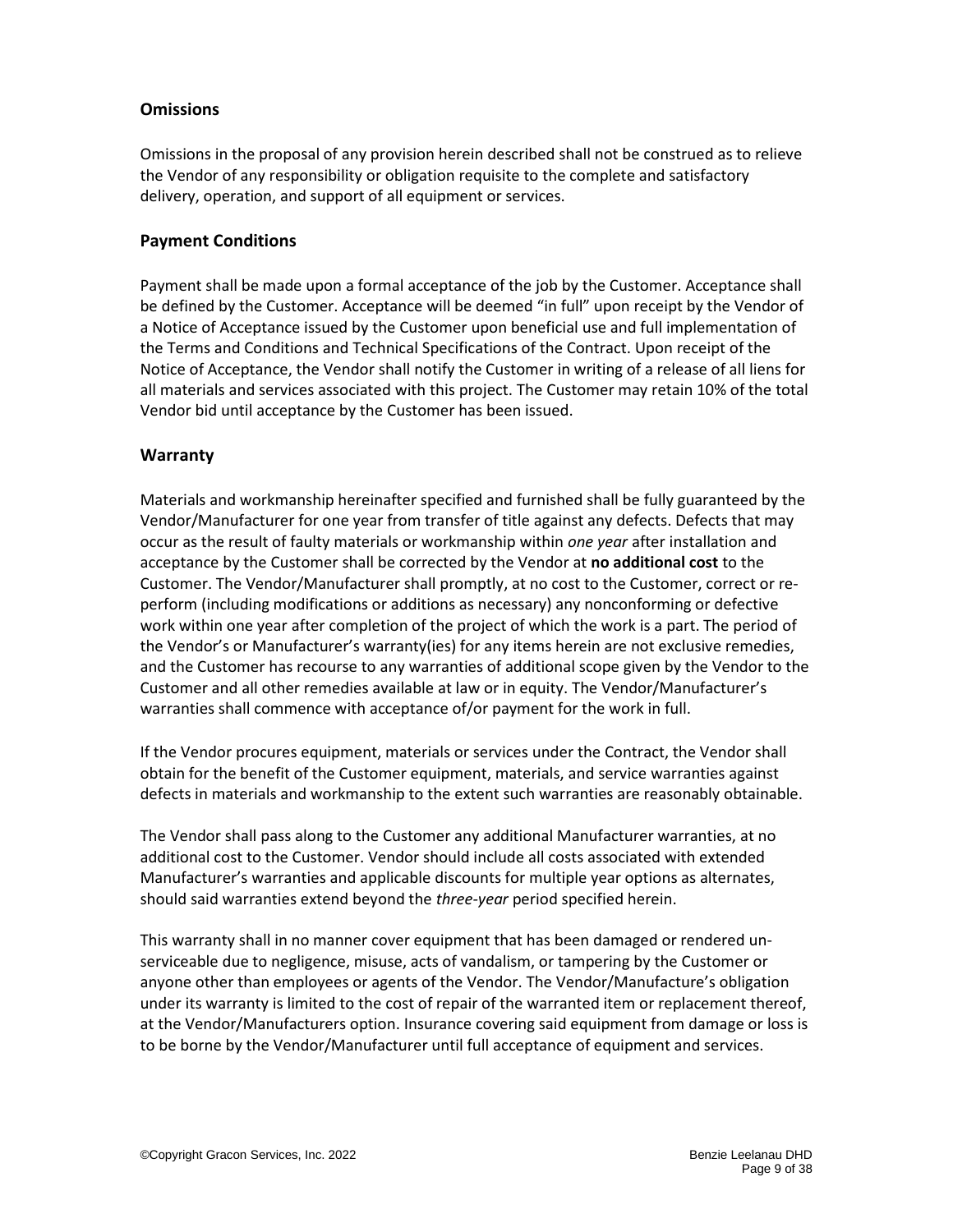#### <span id="page-8-0"></span>**Omissions**

Omissions in the proposal of any provision herein described shall not be construed as to relieve the Vendor of any responsibility or obligation requisite to the complete and satisfactory delivery, operation, and support of all equipment or services.

#### <span id="page-8-1"></span>**Payment Conditions**

Payment shall be made upon a formal acceptance of the job by the Customer. Acceptance shall be defined by the Customer. Acceptance will be deemed "in full" upon receipt by the Vendor of a Notice of Acceptance issued by the Customer upon beneficial use and full implementation of the Terms and Conditions and Technical Specifications of the Contract. Upon receipt of the Notice of Acceptance, the Vendor shall notify the Customer in writing of a release of all liens for all materials and services associated with this project. The Customer may retain 10% of the total Vendor bid until acceptance by the Customer has been issued.

#### <span id="page-8-2"></span>**Warranty**

Materials and workmanship hereinafter specified and furnished shall be fully guaranteed by the Vendor/Manufacturer for one year from transfer of title against any defects. Defects that may occur as the result of faulty materials or workmanship within *one year* after installation and acceptance by the Customer shall be corrected by the Vendor at **no additional cost** to the Customer. The Vendor/Manufacturer shall promptly, at no cost to the Customer, correct or reperform (including modifications or additions as necessary) any nonconforming or defective work within one year after completion of the project of which the work is a part. The period of the Vendor's or Manufacturer's warranty(ies) for any items herein are not exclusive remedies, and the Customer has recourse to any warranties of additional scope given by the Vendor to the Customer and all other remedies available at law or in equity. The Vendor/Manufacturer's warranties shall commence with acceptance of/or payment for the work in full.

If the Vendor procures equipment, materials or services under the Contract, the Vendor shall obtain for the benefit of the Customer equipment, materials, and service warranties against defects in materials and workmanship to the extent such warranties are reasonably obtainable.

The Vendor shall pass along to the Customer any additional Manufacturer warranties, at no additional cost to the Customer. Vendor should include all costs associated with extended Manufacturer's warranties and applicable discounts for multiple year options as alternates, should said warranties extend beyond the *three-year* period specified herein.

This warranty shall in no manner cover equipment that has been damaged or rendered unserviceable due to negligence, misuse, acts of vandalism, or tampering by the Customer or anyone other than employees or agents of the Vendor. The Vendor/Manufacture's obligation under its warranty is limited to the cost of repair of the warranted item or replacement thereof, at the Vendor/Manufacturers option. Insurance covering said equipment from damage or loss is to be borne by the Vendor/Manufacturer until full acceptance of equipment and services.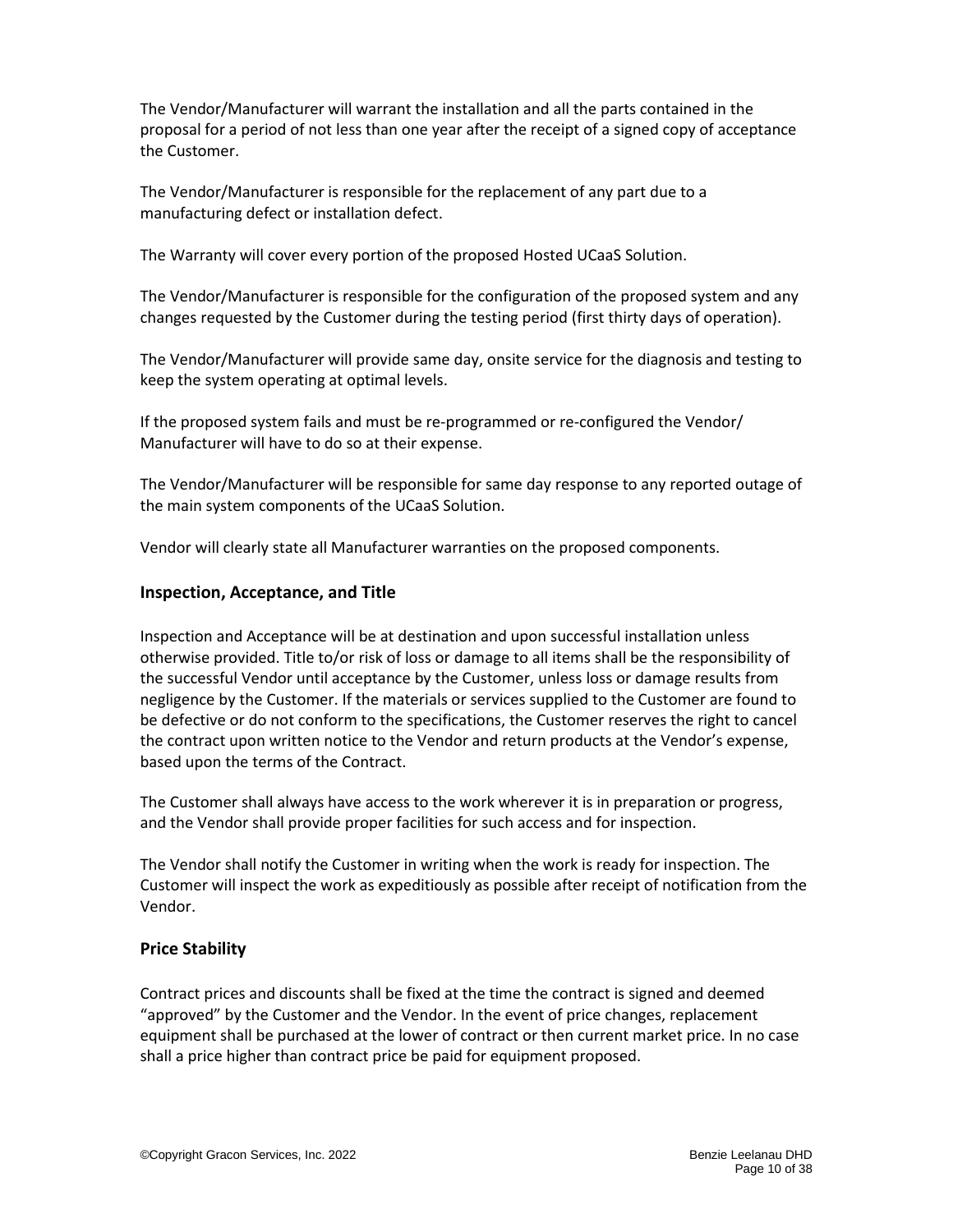The Vendor/Manufacturer will warrant the installation and all the parts contained in the proposal for a period of not less than one year after the receipt of a signed copy of acceptance the Customer.

The Vendor/Manufacturer is responsible for the replacement of any part due to a manufacturing defect or installation defect.

The Warranty will cover every portion of the proposed Hosted UCaaS Solution.

The Vendor/Manufacturer is responsible for the configuration of the proposed system and any changes requested by the Customer during the testing period (first thirty days of operation).

The Vendor/Manufacturer will provide same day, onsite service for the diagnosis and testing to keep the system operating at optimal levels.

If the proposed system fails and must be re-programmed or re-configured the Vendor/ Manufacturer will have to do so at their expense.

The Vendor/Manufacturer will be responsible for same day response to any reported outage of the main system components of the UCaaS Solution.

Vendor will clearly state all Manufacturer warranties on the proposed components.

#### <span id="page-9-0"></span>**Inspection, Acceptance, and Title**

Inspection and Acceptance will be at destination and upon successful installation unless otherwise provided. Title to/or risk of loss or damage to all items shall be the responsibility of the successful Vendor until acceptance by the Customer, unless loss or damage results from negligence by the Customer. If the materials or services supplied to the Customer are found to be defective or do not conform to the specifications, the Customer reserves the right to cancel the contract upon written notice to the Vendor and return products at the Vendor's expense, based upon the terms of the Contract.

The Customer shall always have access to the work wherever it is in preparation or progress, and the Vendor shall provide proper facilities for such access and for inspection.

The Vendor shall notify the Customer in writing when the work is ready for inspection. The Customer will inspect the work as expeditiously as possible after receipt of notification from the Vendor.

### <span id="page-9-1"></span>**Price Stability**

Contract prices and discounts shall be fixed at the time the contract is signed and deemed "approved" by the Customer and the Vendor. In the event of price changes, replacement equipment shall be purchased at the lower of contract or then current market price. In no case shall a price higher than contract price be paid for equipment proposed.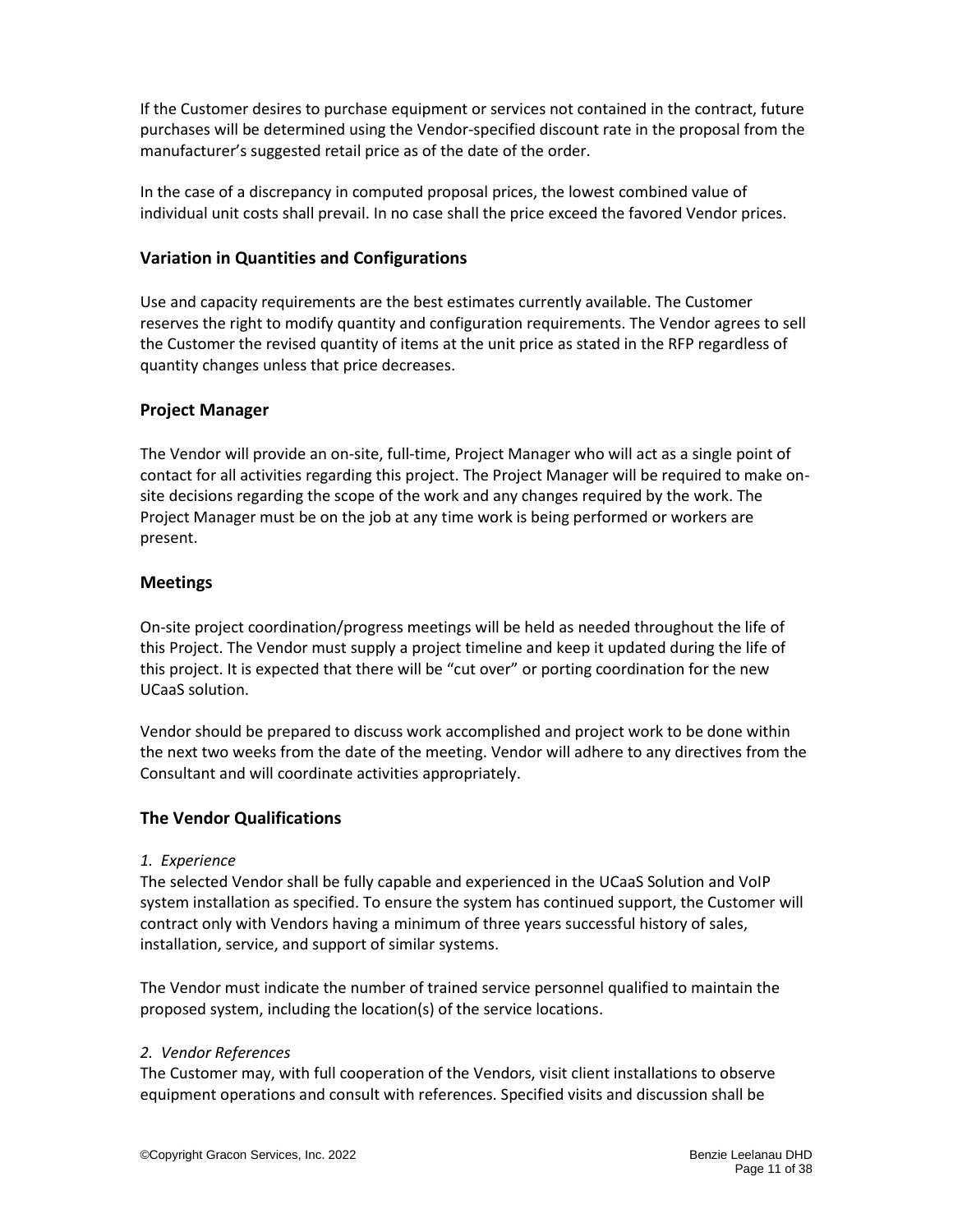If the Customer desires to purchase equipment or services not contained in the contract, future purchases will be determined using the Vendor-specified discount rate in the proposal from the manufacturer's suggested retail price as of the date of the order.

In the case of a discrepancy in computed proposal prices, the lowest combined value of individual unit costs shall prevail. In no case shall the price exceed the favored Vendor prices.

### <span id="page-10-0"></span>**Variation in Quantities and Configurations**

Use and capacity requirements are the best estimates currently available. The Customer reserves the right to modify quantity and configuration requirements. The Vendor agrees to sell the Customer the revised quantity of items at the unit price as stated in the RFP regardless of quantity changes unless that price decreases.

### <span id="page-10-1"></span>**Project Manager**

The Vendor will provide an on-site, full-time, Project Manager who will act as a single point of contact for all activities regarding this project. The Project Manager will be required to make onsite decisions regarding the scope of the work and any changes required by the work. The Project Manager must be on the job at any time work is being performed or workers are present.

#### <span id="page-10-2"></span>**Meetings**

On-site project coordination/progress meetings will be held as needed throughout the life of this Project. The Vendor must supply a project timeline and keep it updated during the life of this project. It is expected that there will be "cut over" or porting coordination for the new UCaaS solution.

Vendor should be prepared to discuss work accomplished and project work to be done within the next two weeks from the date of the meeting. Vendor will adhere to any directives from the Consultant and will coordinate activities appropriately.

### <span id="page-10-3"></span>**The Vendor Qualifications**

#### *1. Experience*

The selected Vendor shall be fully capable and experienced in the UCaaS Solution and VoIP system installation as specified. To ensure the system has continued support, the Customer will contract only with Vendors having a minimum of three years successful history of sales, installation, service, and support of similar systems.

The Vendor must indicate the number of trained service personnel qualified to maintain the proposed system, including the location(s) of the service locations.

#### *2. Vendor References*

The Customer may, with full cooperation of the Vendors, visit client installations to observe equipment operations and consult with references. Specified visits and discussion shall be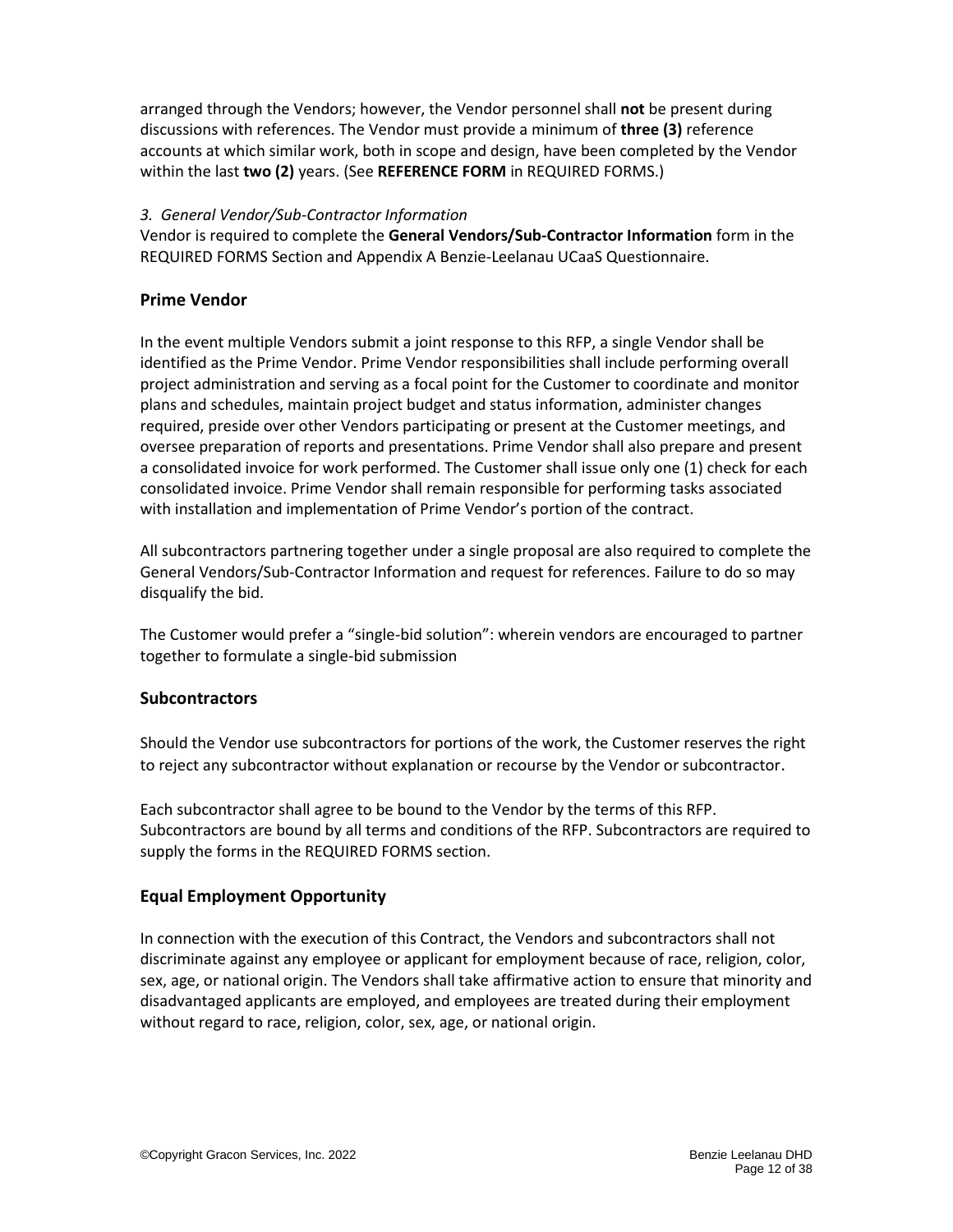arranged through the Vendors; however, the Vendor personnel shall **not** be present during discussions with references. The Vendor must provide a minimum of **three (3)** reference accounts at which similar work, both in scope and design, have been completed by the Vendor within the last **two (2)** years. (See **REFERENCE FORM** in REQUIRED FORMS.)

#### *3. General Vendor/Sub-Contractor Information*

Vendor is required to complete the **General Vendors/Sub-Contractor Information** form in the REQUIRED FORMS Section and Appendix A Benzie-Leelanau UCaaS Questionnaire.

## <span id="page-11-0"></span>**Prime Vendor**

In the event multiple Vendors submit a joint response to this RFP, a single Vendor shall be identified as the Prime Vendor. Prime Vendor responsibilities shall include performing overall project administration and serving as a focal point for the Customer to coordinate and monitor plans and schedules, maintain project budget and status information, administer changes required, preside over other Vendors participating or present at the Customer meetings, and oversee preparation of reports and presentations. Prime Vendor shall also prepare and present a consolidated invoice for work performed. The Customer shall issue only one (1) check for each consolidated invoice. Prime Vendor shall remain responsible for performing tasks associated with installation and implementation of Prime Vendor's portion of the contract.

All subcontractors partnering together under a single proposal are also required to complete the General Vendors/Sub-Contractor Information and request for references. Failure to do so may disqualify the bid.

The Customer would prefer a "single-bid solution": wherein vendors are encouraged to partner together to formulate a single-bid submission

### <span id="page-11-1"></span>**Subcontractors**

Should the Vendor use subcontractors for portions of the work, the Customer reserves the right to reject any subcontractor without explanation or recourse by the Vendor or subcontractor.

Each subcontractor shall agree to be bound to the Vendor by the terms of this RFP. Subcontractors are bound by all terms and conditions of the RFP. Subcontractors are required to supply the forms in the REQUIRED FORMS section.

### <span id="page-11-2"></span>**Equal Employment Opportunity**

In connection with the execution of this Contract, the Vendors and subcontractors shall not discriminate against any employee or applicant for employment because of race, religion, color, sex, age, or national origin. The Vendors shall take affirmative action to ensure that minority and disadvantaged applicants are employed, and employees are treated during their employment without regard to race, religion, color, sex, age, or national origin.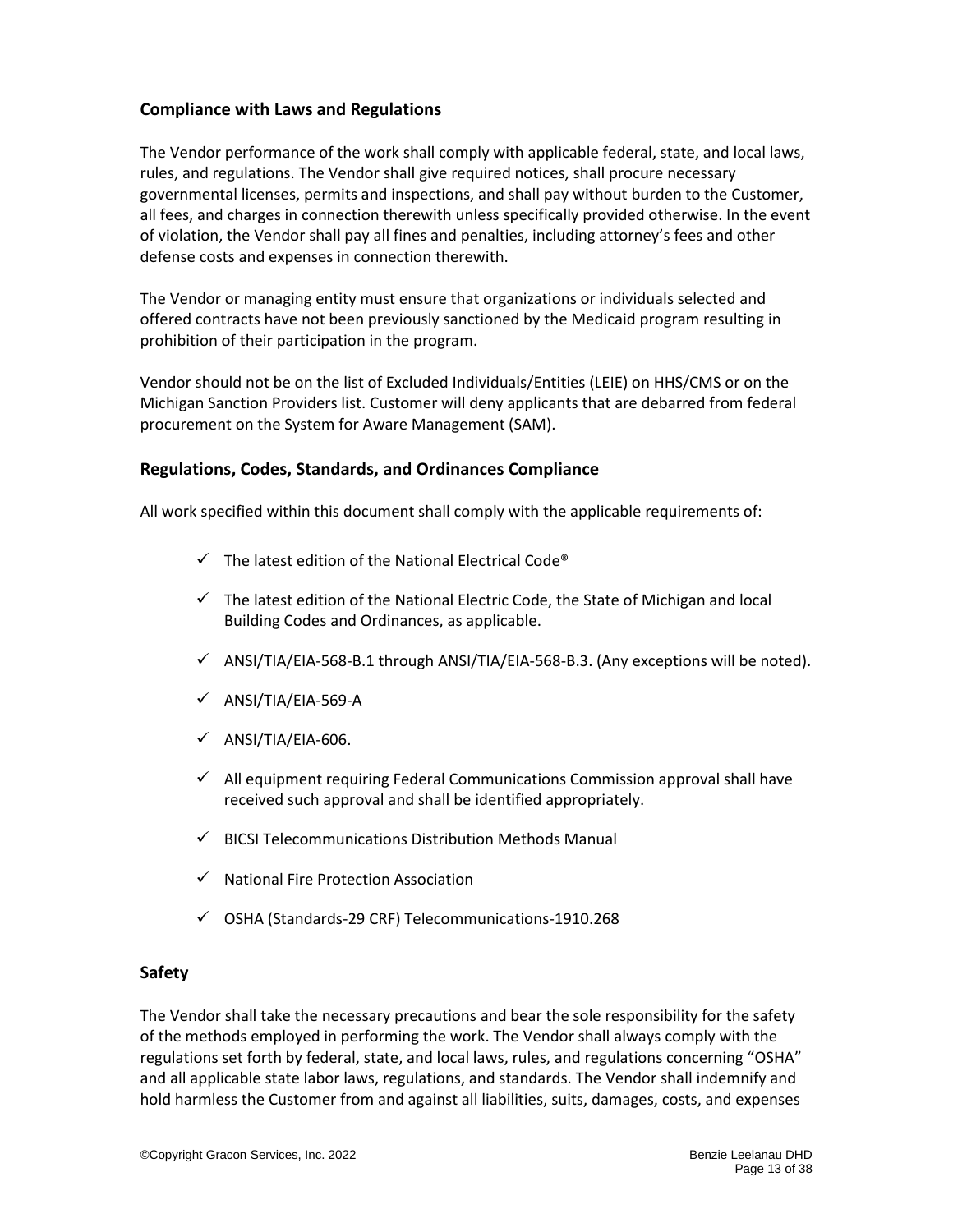#### <span id="page-12-0"></span>**Compliance with Laws and Regulations**

The Vendor performance of the work shall comply with applicable federal, state, and local laws, rules, and regulations. The Vendor shall give required notices, shall procure necessary governmental licenses, permits and inspections, and shall pay without burden to the Customer, all fees, and charges in connection therewith unless specifically provided otherwise. In the event of violation, the Vendor shall pay all fines and penalties, including attorney's fees and other defense costs and expenses in connection therewith.

The Vendor or managing entity must ensure that organizations or individuals selected and offered contracts have not been previously sanctioned by the Medicaid program resulting in prohibition of their participation in the program.

Vendor should not be on the list of Excluded Individuals/Entities (LEIE) on HHS/CMS or on the Michigan Sanction Providers list. Customer will deny applicants that are debarred from federal procurement on the System for Aware Management (SAM).

#### <span id="page-12-1"></span>**Regulations, Codes, Standards, and Ordinances Compliance**

All work specified within this document shall comply with the applicable requirements of:

- $\checkmark$  The latest edition of the National Electrical Code®
- $\checkmark$  The latest edition of the National Electric Code, the State of Michigan and local Building Codes and Ordinances, as applicable.
- $\checkmark$  ANSI/TIA/EIA-568-B.1 through ANSI/TIA/EIA-568-B.3. (Any exceptions will be noted).
- $\checkmark$  ANSI/TIA/EIA-569-A
- $\checkmark$  ANSI/TIA/EIA-606.
- $\checkmark$  All equipment requiring Federal Communications Commission approval shall have received such approval and shall be identified appropriately.
- $\checkmark$  BICSI Telecommunications Distribution Methods Manual
- ✓ National Fire Protection Association
- ✓ OSHA (Standards-29 CRF) Telecommunications-1910.268

### <span id="page-12-2"></span>**Safety**

The Vendor shall take the necessary precautions and bear the sole responsibility for the safety of the methods employed in performing the work. The Vendor shall always comply with the regulations set forth by federal, state, and local laws, rules, and regulations concerning "OSHA" and all applicable state labor laws, regulations, and standards. The Vendor shall indemnify and hold harmless the Customer from and against all liabilities, suits, damages, costs, and expenses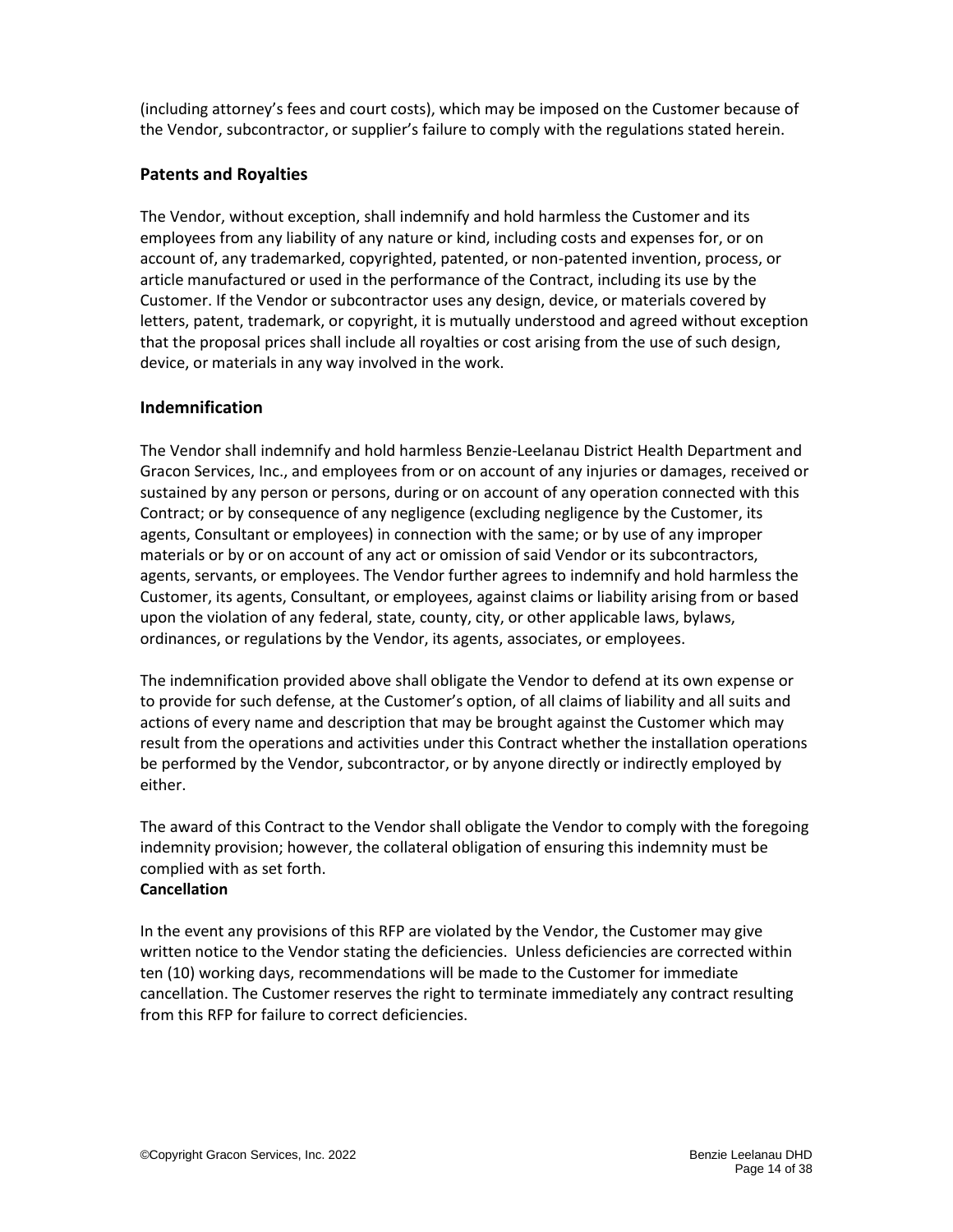(including attorney's fees and court costs), which may be imposed on the Customer because of the Vendor, subcontractor, or supplier's failure to comply with the regulations stated herein.

# <span id="page-13-0"></span>**Patents and Royalties**

The Vendor, without exception, shall indemnify and hold harmless the Customer and its employees from any liability of any nature or kind, including costs and expenses for, or on account of, any trademarked, copyrighted, patented, or non-patented invention, process, or article manufactured or used in the performance of the Contract, including its use by the Customer. If the Vendor or subcontractor uses any design, device, or materials covered by letters, patent, trademark, or copyright, it is mutually understood and agreed without exception that the proposal prices shall include all royalties or cost arising from the use of such design, device, or materials in any way involved in the work.

### <span id="page-13-1"></span>**Indemnification**

The Vendor shall indemnify and hold harmless Benzie-Leelanau District Health Department and Gracon Services, Inc., and employees from or on account of any injuries or damages, received or sustained by any person or persons, during or on account of any operation connected with this Contract; or by consequence of any negligence (excluding negligence by the Customer, its agents, Consultant or employees) in connection with the same; or by use of any improper materials or by or on account of any act or omission of said Vendor or its subcontractors, agents, servants, or employees. The Vendor further agrees to indemnify and hold harmless the Customer, its agents, Consultant, or employees, against claims or liability arising from or based upon the violation of any federal, state, county, city, or other applicable laws, bylaws, ordinances, or regulations by the Vendor, its agents, associates, or employees.

The indemnification provided above shall obligate the Vendor to defend at its own expense or to provide for such defense, at the Customer's option, of all claims of liability and all suits and actions of every name and description that may be brought against the Customer which may result from the operations and activities under this Contract whether the installation operations be performed by the Vendor, subcontractor, or by anyone directly or indirectly employed by either.

The award of this Contract to the Vendor shall obligate the Vendor to comply with the foregoing indemnity provision; however, the collateral obligation of ensuring this indemnity must be complied with as set forth. **Cancellation**

### In the event any provisions of this RFP are violated by the Vendor, the Customer may give written notice to the Vendor stating the deficiencies. Unless deficiencies are corrected within ten (10) working days, recommendations will be made to the Customer for immediate cancellation. The Customer reserves the right to terminate immediately any contract resulting from this RFP for failure to correct deficiencies.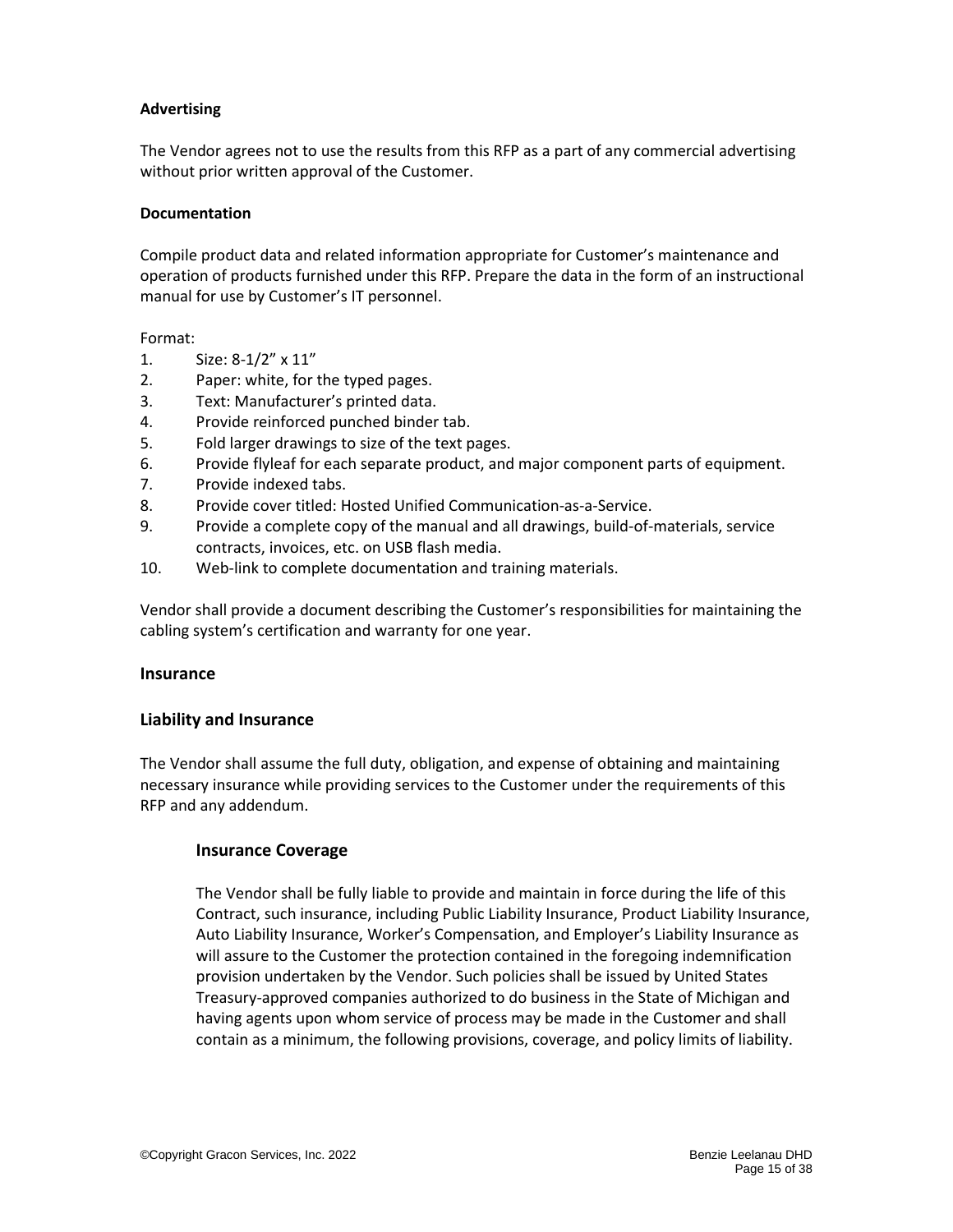#### **Advertising**

The Vendor agrees not to use the results from this RFP as a part of any commercial advertising without prior written approval of the Customer.

#### **Documentation**

Compile product data and related information appropriate for Customer's maintenance and operation of products furnished under this RFP. Prepare the data in the form of an instructional manual for use by Customer's IT personnel.

Format:

- 1. Size: 8-1/2" x 11"
- 2. Paper: white, for the typed pages.
- 3. Text: Manufacturer's printed data.
- 4. Provide reinforced punched binder tab.
- 5. Fold larger drawings to size of the text pages.
- 6. Provide flyleaf for each separate product, and major component parts of equipment.
- 7. Provide indexed tabs.
- 8. Provide cover titled: Hosted Unified Communication-as-a-Service.
- 9. Provide a complete copy of the manual and all drawings, build-of-materials, service contracts, invoices, etc. on USB flash media.
- 10. Web-link to complete documentation and training materials.

Vendor shall provide a document describing the Customer's responsibilities for maintaining the cabling system's certification and warranty for one year.

#### <span id="page-14-0"></span>**Insurance**

#### <span id="page-14-1"></span>**Liability and Insurance**

The Vendor shall assume the full duty, obligation, and expense of obtaining and maintaining necessary insurance while providing services to the Customer under the requirements of this RFP and any addendum.

#### <span id="page-14-2"></span>**Insurance Coverage**

The Vendor shall be fully liable to provide and maintain in force during the life of this Contract, such insurance, including Public Liability Insurance, Product Liability Insurance, Auto Liability Insurance, Worker's Compensation, and Employer's Liability Insurance as will assure to the Customer the protection contained in the foregoing indemnification provision undertaken by the Vendor. Such policies shall be issued by United States Treasury-approved companies authorized to do business in the State of Michigan and having agents upon whom service of process may be made in the Customer and shall contain as a minimum, the following provisions, coverage, and policy limits of liability.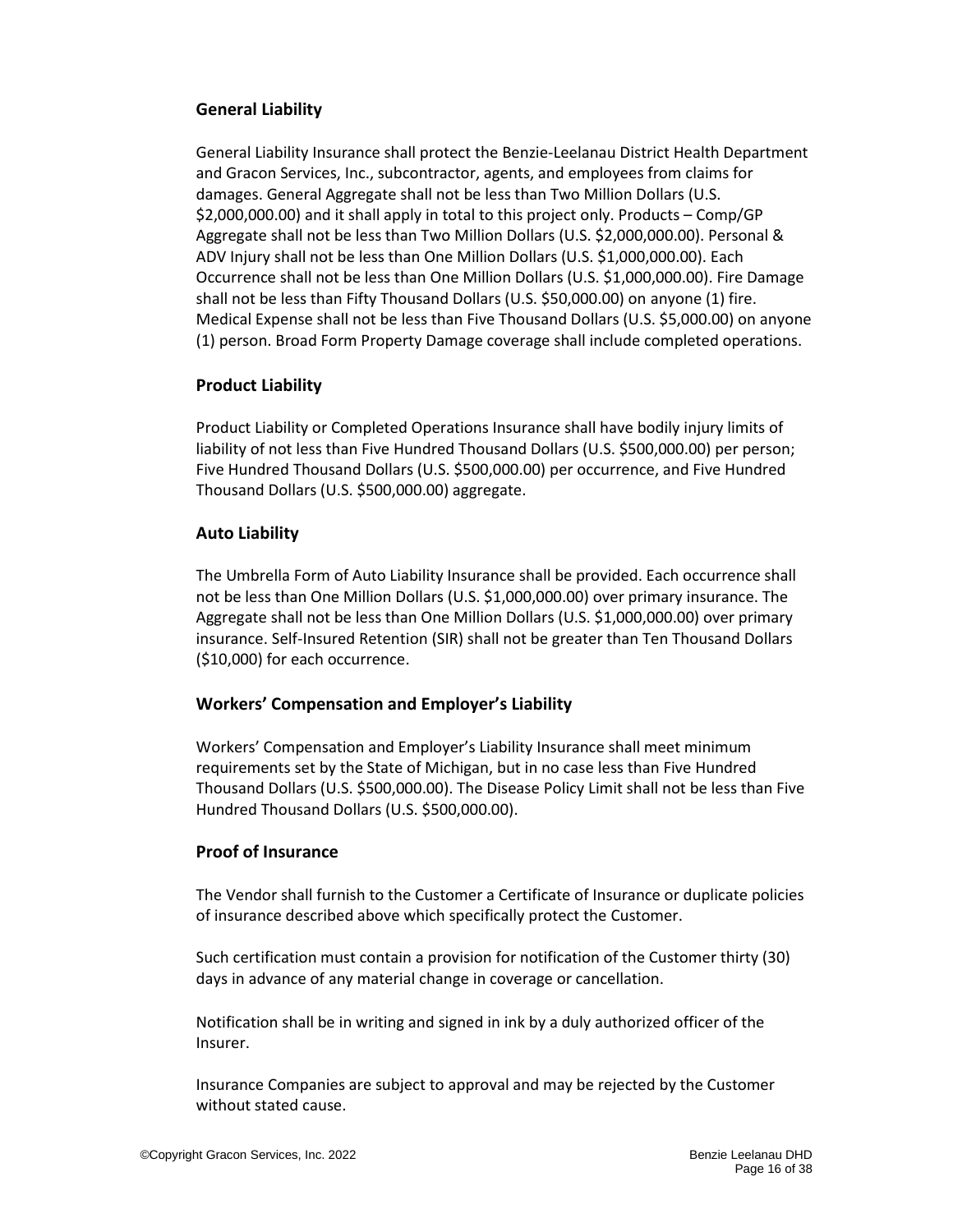### <span id="page-15-0"></span>**General Liability**

General Liability Insurance shall protect the Benzie-Leelanau District Health Department and Gracon Services, Inc., subcontractor, agents, and employees from claims for damages. General Aggregate shall not be less than Two Million Dollars (U.S. \$2,000,000.00) and it shall apply in total to this project only. Products – Comp/GP Aggregate shall not be less than Two Million Dollars (U.S. \$2,000,000.00). Personal & ADV Injury shall not be less than One Million Dollars (U.S. \$1,000,000.00). Each Occurrence shall not be less than One Million Dollars (U.S. \$1,000,000.00). Fire Damage shall not be less than Fifty Thousand Dollars (U.S. \$50,000.00) on anyone (1) fire. Medical Expense shall not be less than Five Thousand Dollars (U.S. \$5,000.00) on anyone (1) person. Broad Form Property Damage coverage shall include completed operations.

### <span id="page-15-1"></span>**Product Liability**

Product Liability or Completed Operations Insurance shall have bodily injury limits of liability of not less than Five Hundred Thousand Dollars (U.S. \$500,000.00) per person; Five Hundred Thousand Dollars (U.S. \$500,000.00) per occurrence, and Five Hundred Thousand Dollars (U.S. \$500,000.00) aggregate.

#### <span id="page-15-2"></span>**Auto Liability**

The Umbrella Form of Auto Liability Insurance shall be provided. Each occurrence shall not be less than One Million Dollars (U.S. \$1,000,000.00) over primary insurance. The Aggregate shall not be less than One Million Dollars (U.S. \$1,000,000.00) over primary insurance. Self-Insured Retention (SIR) shall not be greater than Ten Thousand Dollars (\$10,000) for each occurrence.

### <span id="page-15-3"></span>**Workers' Compensation and Employer's Liability**

Workers' Compensation and Employer's Liability Insurance shall meet minimum requirements set by the State of Michigan, but in no case less than Five Hundred Thousand Dollars (U.S. \$500,000.00). The Disease Policy Limit shall not be less than Five Hundred Thousand Dollars (U.S. \$500,000.00).

#### <span id="page-15-4"></span>**Proof of Insurance**

The Vendor shall furnish to the Customer a Certificate of Insurance or duplicate policies of insurance described above which specifically protect the Customer.

Such certification must contain a provision for notification of the Customer thirty (30) days in advance of any material change in coverage or cancellation.

Notification shall be in writing and signed in ink by a duly authorized officer of the Insurer.

Insurance Companies are subject to approval and may be rejected by the Customer without stated cause.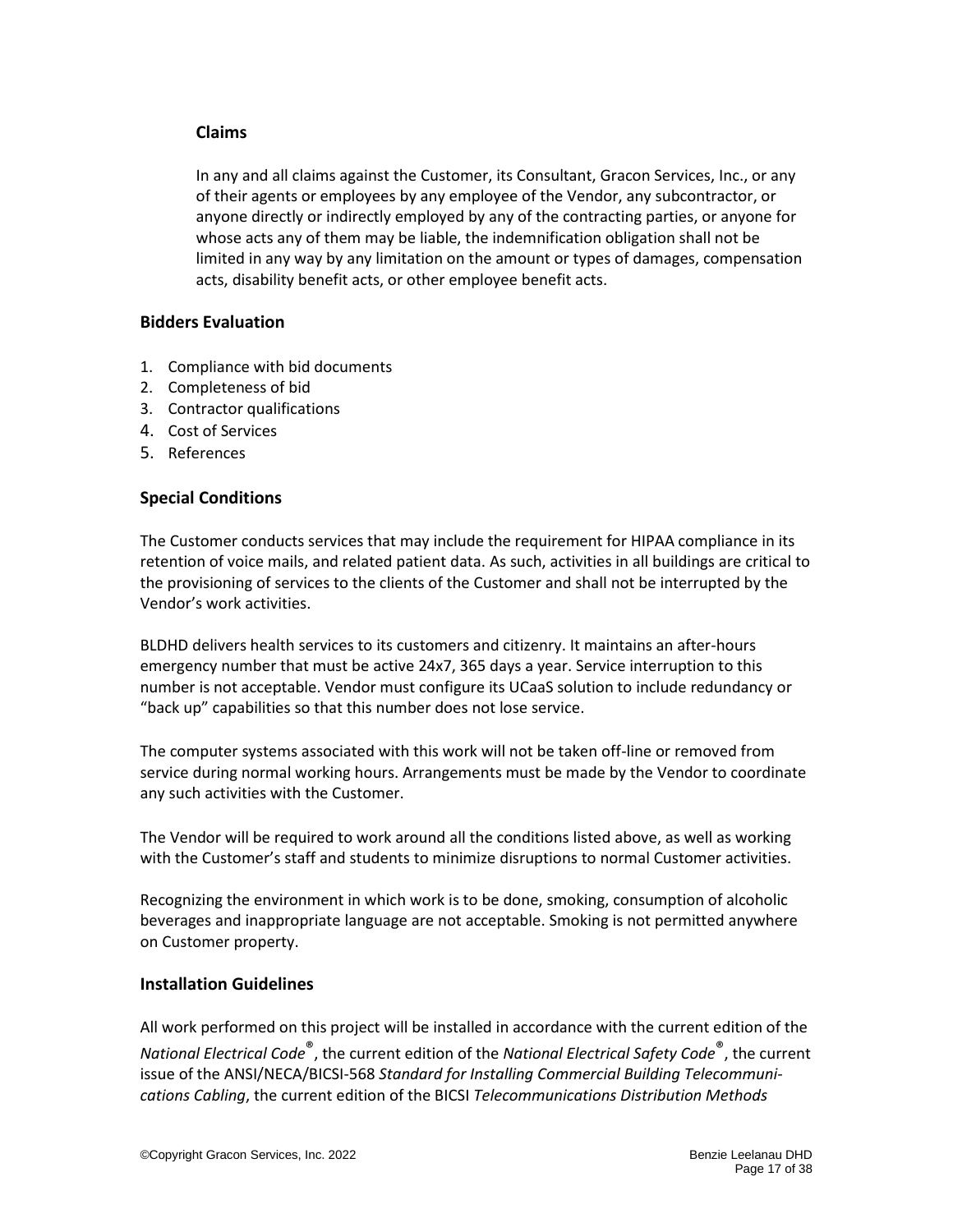#### <span id="page-16-0"></span>**Claims**

In any and all claims against the Customer, its Consultant, Gracon Services, Inc., or any of their agents or employees by any employee of the Vendor, any subcontractor, or anyone directly or indirectly employed by any of the contracting parties, or anyone for whose acts any of them may be liable, the indemnification obligation shall not be limited in any way by any limitation on the amount or types of damages, compensation acts, disability benefit acts, or other employee benefit acts.

#### **Bidders Evaluation**

- 1. Compliance with bid documents
- 2. Completeness of bid
- 3. Contractor qualifications
- 4. Cost of Services
- 5. References

#### <span id="page-16-1"></span>**Special Conditions**

The Customer conducts services that may include the requirement for HIPAA compliance in its retention of voice mails, and related patient data. As such, activities in all buildings are critical to the provisioning of services to the clients of the Customer and shall not be interrupted by the Vendor's work activities.

BLDHD delivers health services to its customers and citizenry. It maintains an after-hours emergency number that must be active 24x7, 365 days a year. Service interruption to this number is not acceptable. Vendor must configure its UCaaS solution to include redundancy or "back up" capabilities so that this number does not lose service.

The computer systems associated with this work will not be taken off-line or removed from service during normal working hours. Arrangements must be made by the Vendor to coordinate any such activities with the Customer.

The Vendor will be required to work around all the conditions listed above, as well as working with the Customer's staff and students to minimize disruptions to normal Customer activities.

Recognizing the environment in which work is to be done, smoking, consumption of alcoholic beverages and inappropriate language are not acceptable. Smoking is not permitted anywhere on Customer property.

#### <span id="page-16-2"></span>**Installation Guidelines**

All work performed on this project will be installed in accordance with the current edition of the *National Electrical Code*®, the current edition of the *National Electrical Safety Code*®, the current issue of the ANSI/NECA/BICSI-568 *Standard for Installing Commercial Building Telecommunications Cabling*, the current edition of the BICSI *Telecommunications Distribution Methods*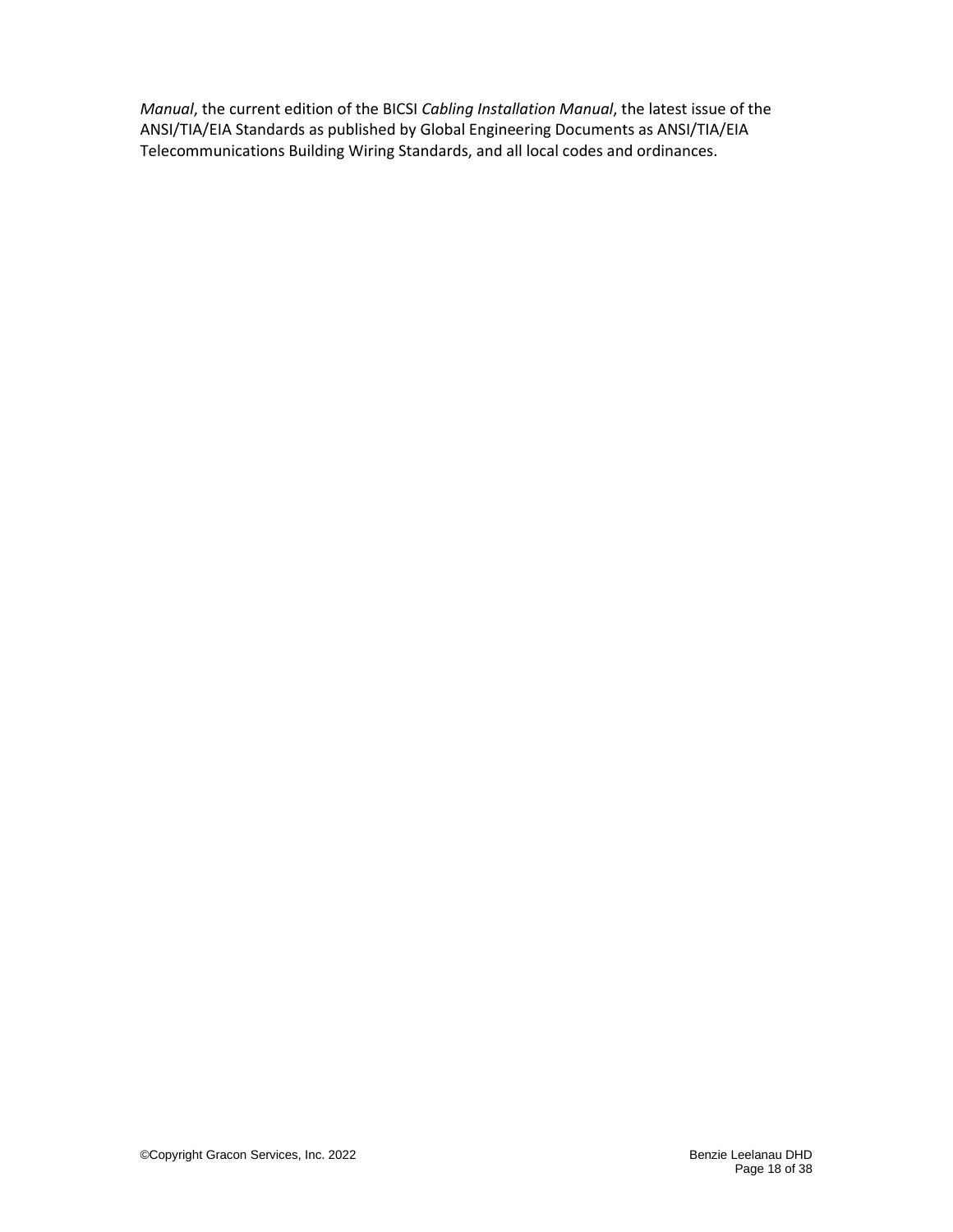*Manual*, the current edition of the BICSI *Cabling Installation Manual*, the latest issue of the ANSI/TIA/EIA Standards as published by Global Engineering Documents as ANSI/TIA/EIA Telecommunications Building Wiring Standards, and all local codes and ordinances.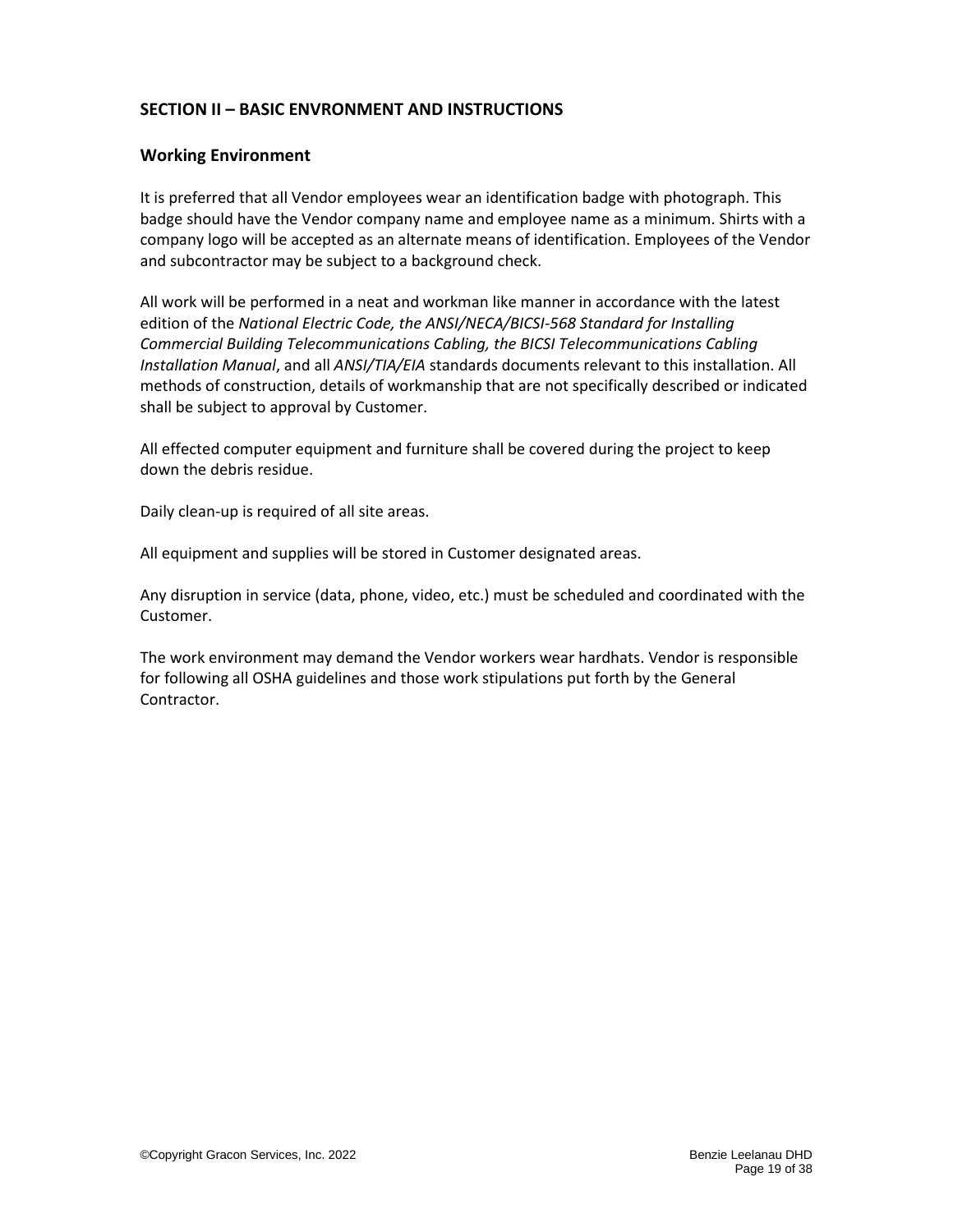## <span id="page-18-0"></span>**SECTION II – BASIC ENVRONMENT AND INSTRUCTIONS**

#### <span id="page-18-1"></span>**Working Environment**

It is preferred that all Vendor employees wear an identification badge with photograph. This badge should have the Vendor company name and employee name as a minimum. Shirts with a company logo will be accepted as an alternate means of identification. Employees of the Vendor and subcontractor may be subject to a background check.

All work will be performed in a neat and workman like manner in accordance with the latest edition of the *National Electric Code, the ANSI/NECA/BICSI-568 Standard for Installing Commercial Building Telecommunications Cabling, the BICSI Telecommunications Cabling Installation Manual*, and all *ANSI/TIA/EIA* standards documents relevant to this installation. All methods of construction, details of workmanship that are not specifically described or indicated shall be subject to approval by Customer.

All effected computer equipment and furniture shall be covered during the project to keep down the debris residue.

Daily clean-up is required of all site areas.

All equipment and supplies will be stored in Customer designated areas.

Any disruption in service (data, phone, video, etc.) must be scheduled and coordinated with the Customer.

The work environment may demand the Vendor workers wear hardhats. Vendor is responsible for following all OSHA guidelines and those work stipulations put forth by the General Contractor.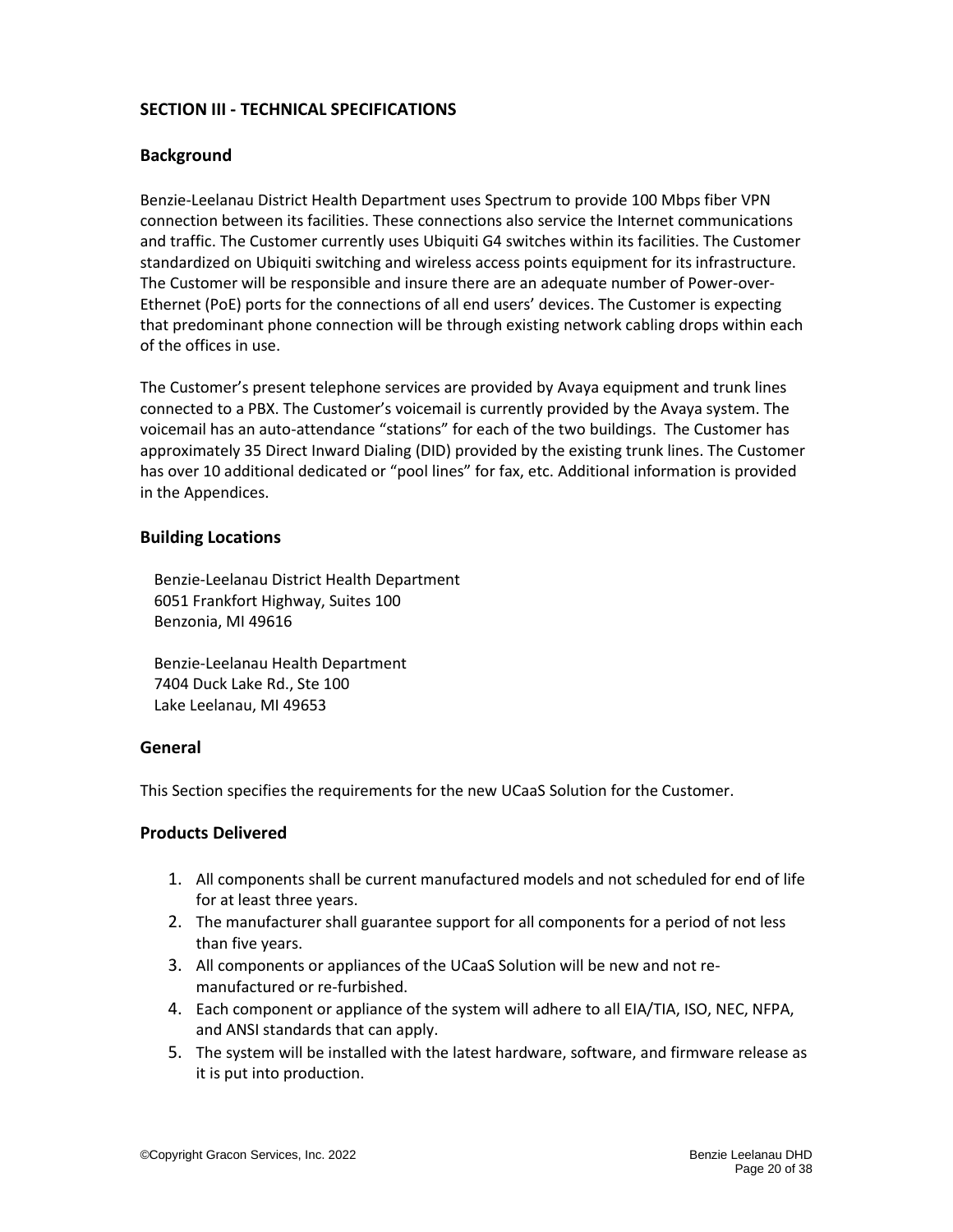# <span id="page-19-0"></span>**SECTION III - TECHNICAL SPECIFICATIONS**

#### <span id="page-19-1"></span>**Background**

Benzie-Leelanau District Health Department uses Spectrum to provide 100 Mbps fiber VPN connection between its facilities. These connections also service the Internet communications and traffic. The Customer currently uses Ubiquiti G4 switches within its facilities. The Customer standardized on Ubiquiti switching and wireless access points equipment for its infrastructure. The Customer will be responsible and insure there are an adequate number of Power-over-Ethernet (PoE) ports for the connections of all end users' devices. The Customer is expecting that predominant phone connection will be through existing network cabling drops within each of the offices in use.

The Customer's present telephone services are provided by Avaya equipment and trunk lines connected to a PBX. The Customer's voicemail is currently provided by the Avaya system. The voicemail has an auto-attendance "stations" for each of the two buildings. The Customer has approximately 35 Direct Inward Dialing (DID) provided by the existing trunk lines. The Customer has over 10 additional dedicated or "pool lines" for fax, etc. Additional information is provided in the Appendices.

#### <span id="page-19-2"></span>**Building Locations**

Benzie-Leelanau District Health Department 6051 Frankfort Highway, Suites 100 Benzonia, MI 49616

Benzie-Leelanau Health Department 7404 Duck Lake Rd., Ste 100 Lake Leelanau, MI 49653

#### <span id="page-19-3"></span>**General**

This Section specifies the requirements for the new UCaaS Solution for the Customer.

#### <span id="page-19-4"></span>**Products Delivered**

- 1. All components shall be current manufactured models and not scheduled for end of life for at least three years.
- 2. The manufacturer shall guarantee support for all components for a period of not less than five years.
- 3. All components or appliances of the UCaaS Solution will be new and not remanufactured or re-furbished.
- 4. Each component or appliance of the system will adhere to all EIA/TIA, ISO, NEC, NFPA, and ANSI standards that can apply.
- 5. The system will be installed with the latest hardware, software, and firmware release as it is put into production.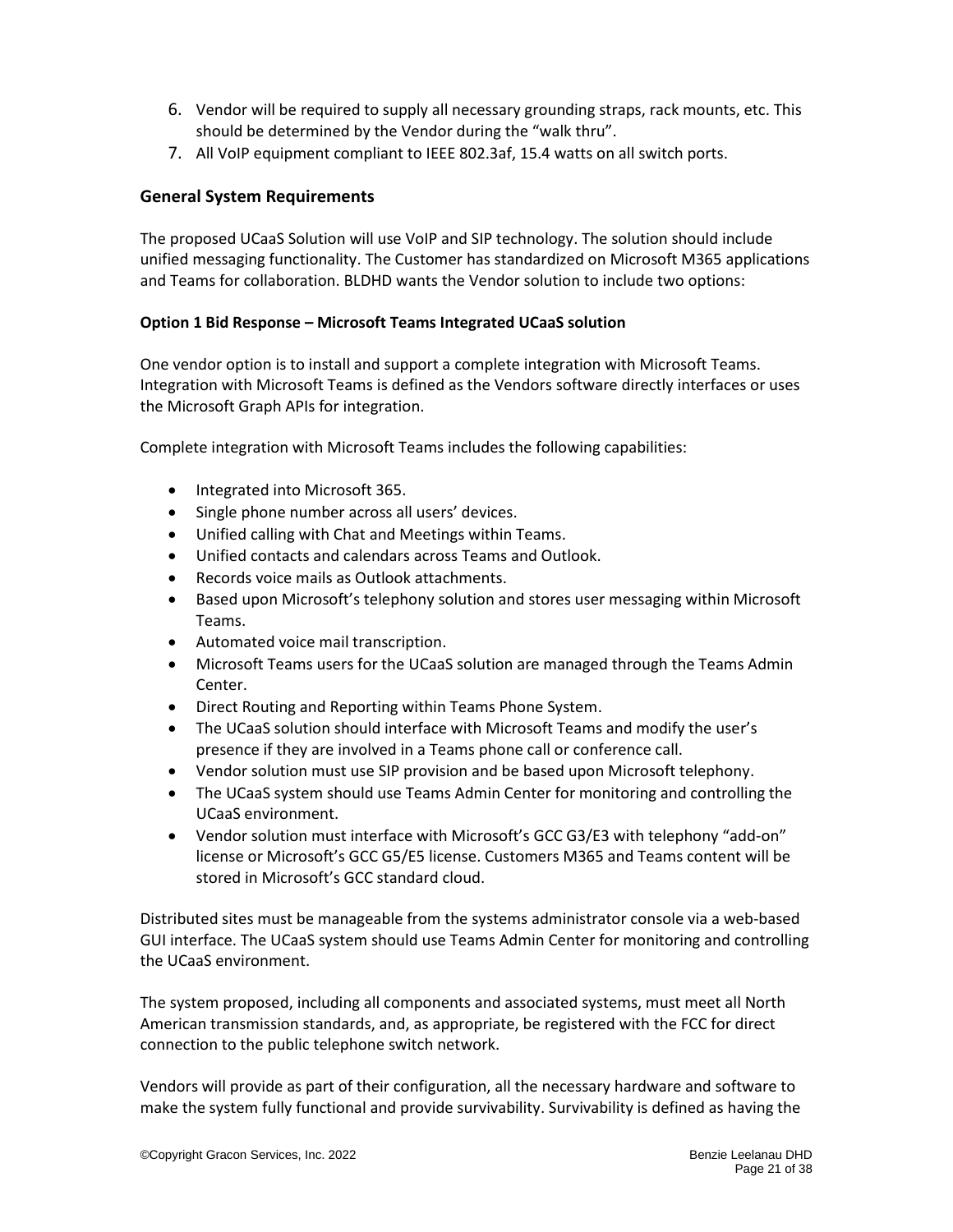- 6. Vendor will be required to supply all necessary grounding straps, rack mounts, etc. This should be determined by the Vendor during the "walk thru".
- 7. All VoIP equipment compliant to IEEE 802.3af, 15.4 watts on all switch ports.

### <span id="page-20-0"></span>**General System Requirements**

The proposed UCaaS Solution will use VoIP and SIP technology. The solution should include unified messaging functionality. The Customer has standardized on Microsoft M365 applications and Teams for collaboration. BLDHD wants the Vendor solution to include two options:

#### **Option 1 Bid Response – Microsoft Teams Integrated UCaaS solution**

One vendor option is to install and support a complete integration with Microsoft Teams. Integration with Microsoft Teams is defined as the Vendors software directly interfaces or uses the Microsoft Graph APIs for integration.

Complete integration with Microsoft Teams includes the following capabilities:

- Integrated into Microsoft 365.
- Single phone number across all users' devices.
- Unified calling with Chat and Meetings within Teams.
- Unified contacts and calendars across Teams and Outlook.
- Records voice mails as Outlook attachments.
- Based upon Microsoft's telephony solution and stores user messaging within Microsoft Teams.
- Automated voice mail transcription.
- Microsoft Teams users for the UCaaS solution are managed through the Teams Admin Center.
- Direct Routing and Reporting within Teams Phone System.
- The UCaaS solution should interface with Microsoft Teams and modify the user's presence if they are involved in a Teams phone call or conference call.
- Vendor solution must use SIP provision and be based upon Microsoft telephony.
- The UCaaS system should use Teams Admin Center for monitoring and controlling the UCaaS environment.
- Vendor solution must interface with Microsoft's GCC G3/E3 with telephony "add-on" license or Microsoft's GCC G5/E5 license. Customers M365 and Teams content will be stored in Microsoft's GCC standard cloud.

Distributed sites must be manageable from the systems administrator console via a web-based GUI interface. The UCaaS system should use Teams Admin Center for monitoring and controlling the UCaaS environment.

The system proposed, including all components and associated systems, must meet all North American transmission standards, and, as appropriate, be registered with the FCC for direct connection to the public telephone switch network.

Vendors will provide as part of their configuration, all the necessary hardware and software to make the system fully functional and provide survivability. Survivability is defined as having the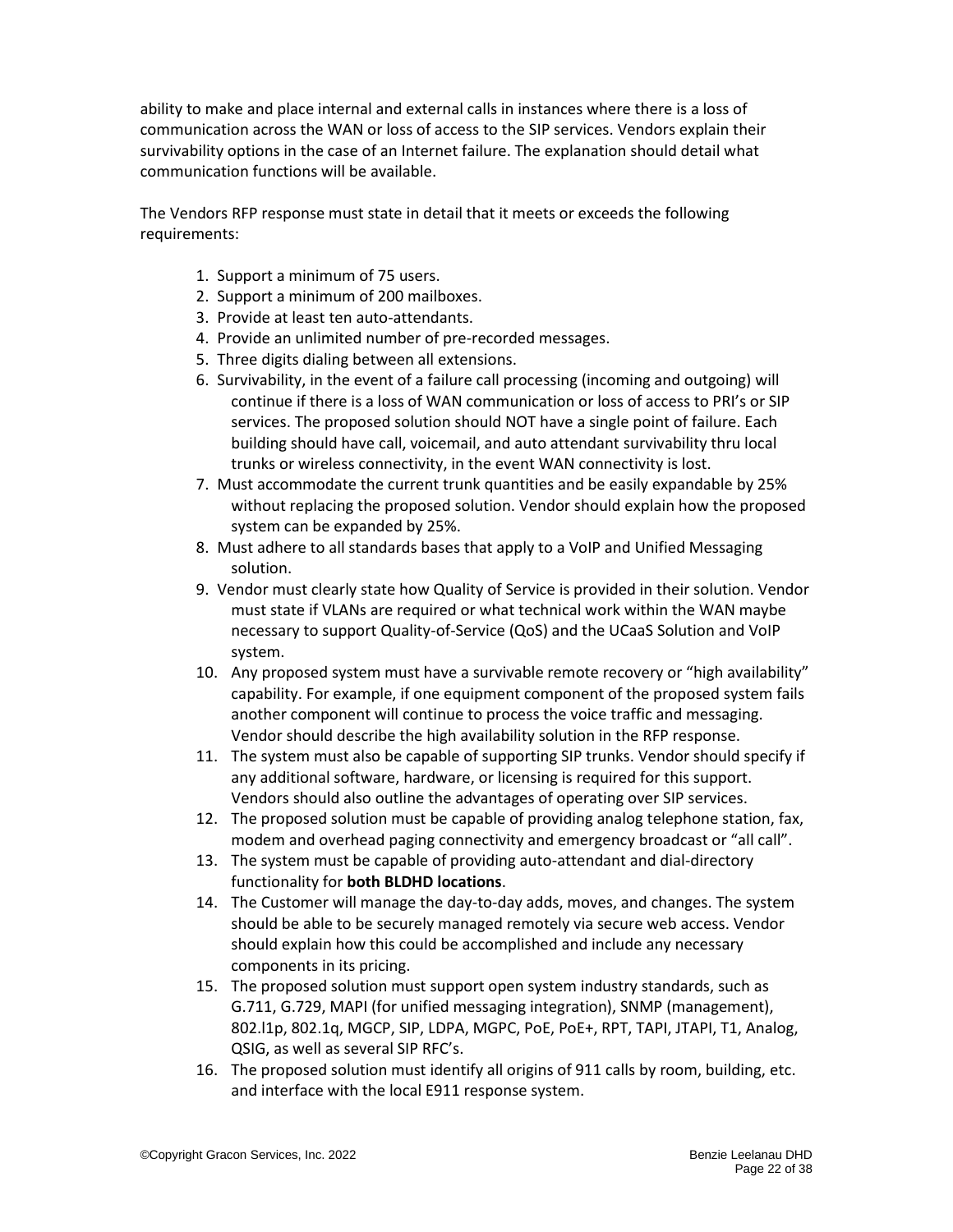ability to make and place internal and external calls in instances where there is a loss of communication across the WAN or loss of access to the SIP services. Vendors explain their survivability options in the case of an Internet failure. The explanation should detail what communication functions will be available.

The Vendors RFP response must state in detail that it meets or exceeds the following requirements:

- 1. Support a minimum of 75 users.
- 2. Support a minimum of 200 mailboxes.
- 3. Provide at least ten auto-attendants.
- 4. Provide an unlimited number of pre-recorded messages.
- 5. Three digits dialing between all extensions.
- 6. Survivability, in the event of a failure call processing (incoming and outgoing) will continue if there is a loss of WAN communication or loss of access to PRI's or SIP services. The proposed solution should NOT have a single point of failure. Each building should have call, voicemail, and auto attendant survivability thru local trunks or wireless connectivity, in the event WAN connectivity is lost.
- 7. Must accommodate the current trunk quantities and be easily expandable by 25% without replacing the proposed solution. Vendor should explain how the proposed system can be expanded by 25%.
- 8. Must adhere to all standards bases that apply to a VoIP and Unified Messaging solution.
- 9. Vendor must clearly state how Quality of Service is provided in their solution. Vendor must state if VLANs are required or what technical work within the WAN maybe necessary to support Quality-of-Service (QoS) and the UCaaS Solution and VoIP system.
- 10. Any proposed system must have a survivable remote recovery or "high availability" capability. For example, if one equipment component of the proposed system fails another component will continue to process the voice traffic and messaging. Vendor should describe the high availability solution in the RFP response.
- 11. The system must also be capable of supporting SIP trunks. Vendor should specify if any additional software, hardware, or licensing is required for this support. Vendors should also outline the advantages of operating over SIP services.
- 12. The proposed solution must be capable of providing analog telephone station, fax, modem and overhead paging connectivity and emergency broadcast or "all call".
- 13. The system must be capable of providing auto-attendant and dial-directory functionality for **both BLDHD locations**.
- 14. The Customer will manage the day-to-day adds, moves, and changes. The system should be able to be securely managed remotely via secure web access. Vendor should explain how this could be accomplished and include any necessary components in its pricing.
- 15. The proposed solution must support open system industry standards, such as G.711, G.729, MAPI (for unified messaging integration), SNMP (management), 802.l1p, 802.1q, MGCP, SIP, LDPA, MGPC, PoE, PoE+, RPT, TAPI, JTAPI, T1, Analog, QSIG, as well as several SIP RFC's.
- 16. The proposed solution must identify all origins of 911 calls by room, building, etc. and interface with the local E911 response system.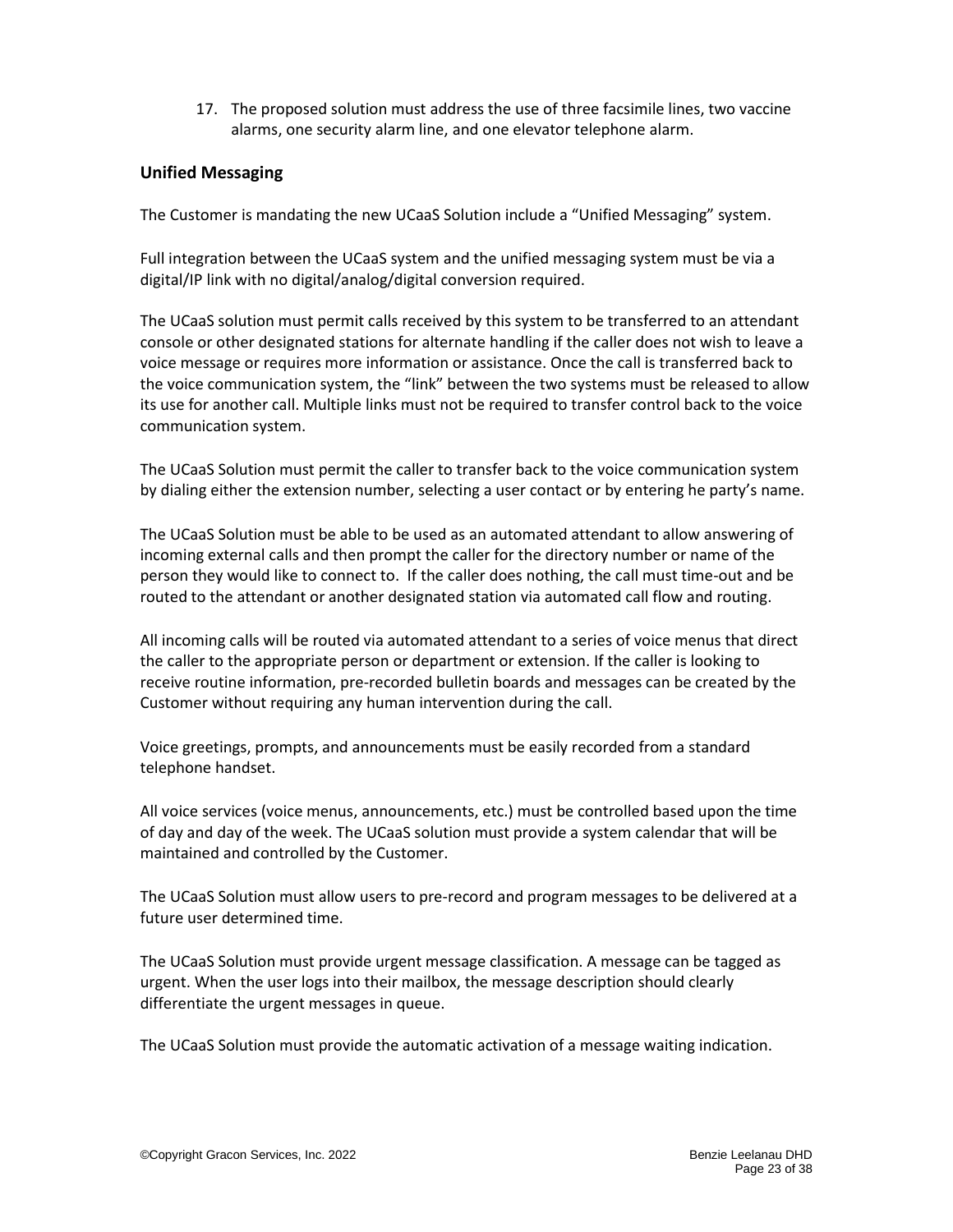17. The proposed solution must address the use of three facsimile lines, two vaccine alarms, one security alarm line, and one elevator telephone alarm.

#### <span id="page-22-0"></span>**Unified Messaging**

The Customer is mandating the new UCaaS Solution include a "Unified Messaging" system.

Full integration between the UCaaS system and the unified messaging system must be via a digital/IP link with no digital/analog/digital conversion required.

The UCaaS solution must permit calls received by this system to be transferred to an attendant console or other designated stations for alternate handling if the caller does not wish to leave a voice message or requires more information or assistance. Once the call is transferred back to the voice communication system, the "link" between the two systems must be released to allow its use for another call. Multiple links must not be required to transfer control back to the voice communication system.

The UCaaS Solution must permit the caller to transfer back to the voice communication system by dialing either the extension number, selecting a user contact or by entering he party's name.

The UCaaS Solution must be able to be used as an automated attendant to allow answering of incoming external calls and then prompt the caller for the directory number or name of the person they would like to connect to. If the caller does nothing, the call must time-out and be routed to the attendant or another designated station via automated call flow and routing.

All incoming calls will be routed via automated attendant to a series of voice menus that direct the caller to the appropriate person or department or extension. If the caller is looking to receive routine information, pre-recorded bulletin boards and messages can be created by the Customer without requiring any human intervention during the call.

Voice greetings, prompts, and announcements must be easily recorded from a standard telephone handset.

All voice services (voice menus, announcements, etc.) must be controlled based upon the time of day and day of the week. The UCaaS solution must provide a system calendar that will be maintained and controlled by the Customer.

The UCaaS Solution must allow users to pre-record and program messages to be delivered at a future user determined time.

The UCaaS Solution must provide urgent message classification. A message can be tagged as urgent. When the user logs into their mailbox, the message description should clearly differentiate the urgent messages in queue.

The UCaaS Solution must provide the automatic activation of a message waiting indication.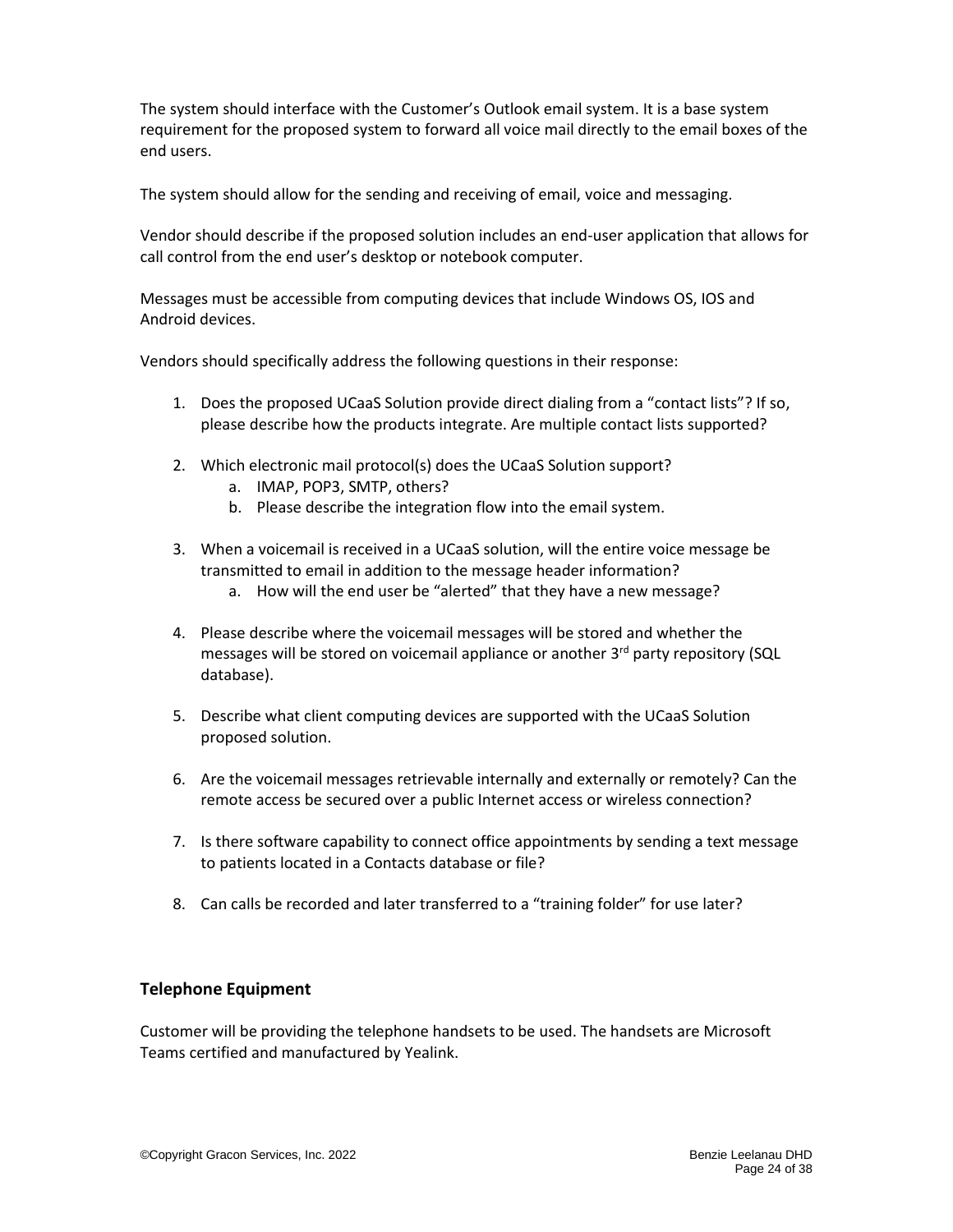The system should interface with the Customer's Outlook email system. It is a base system requirement for the proposed system to forward all voice mail directly to the email boxes of the end users.

The system should allow for the sending and receiving of email, voice and messaging.

Vendor should describe if the proposed solution includes an end-user application that allows for call control from the end user's desktop or notebook computer.

Messages must be accessible from computing devices that include Windows OS, IOS and Android devices.

Vendors should specifically address the following questions in their response:

- 1. Does the proposed UCaaS Solution provide direct dialing from a "contact lists"? If so, please describe how the products integrate. Are multiple contact lists supported?
- 2. Which electronic mail protocol(s) does the UCaaS Solution support?
	- a. IMAP, POP3, SMTP, others?
	- b. Please describe the integration flow into the email system.
- 3. When a voicemail is received in a UCaaS solution, will the entire voice message be transmitted to email in addition to the message header information?
	- a. How will the end user be "alerted" that they have a new message?
- 4. Please describe where the voicemail messages will be stored and whether the messages will be stored on voicemail appliance or another  $3<sup>rd</sup>$  party repository (SQL database).
- 5. Describe what client computing devices are supported with the UCaaS Solution proposed solution.
- 6. Are the voicemail messages retrievable internally and externally or remotely? Can the remote access be secured over a public Internet access or wireless connection?
- 7. Is there software capability to connect office appointments by sending a text message to patients located in a Contacts database or file?
- 8. Can calls be recorded and later transferred to a "training folder" for use later?

### **Telephone Equipment**

Customer will be providing the telephone handsets to be used. The handsets are Microsoft Teams certified and manufactured by Yealink.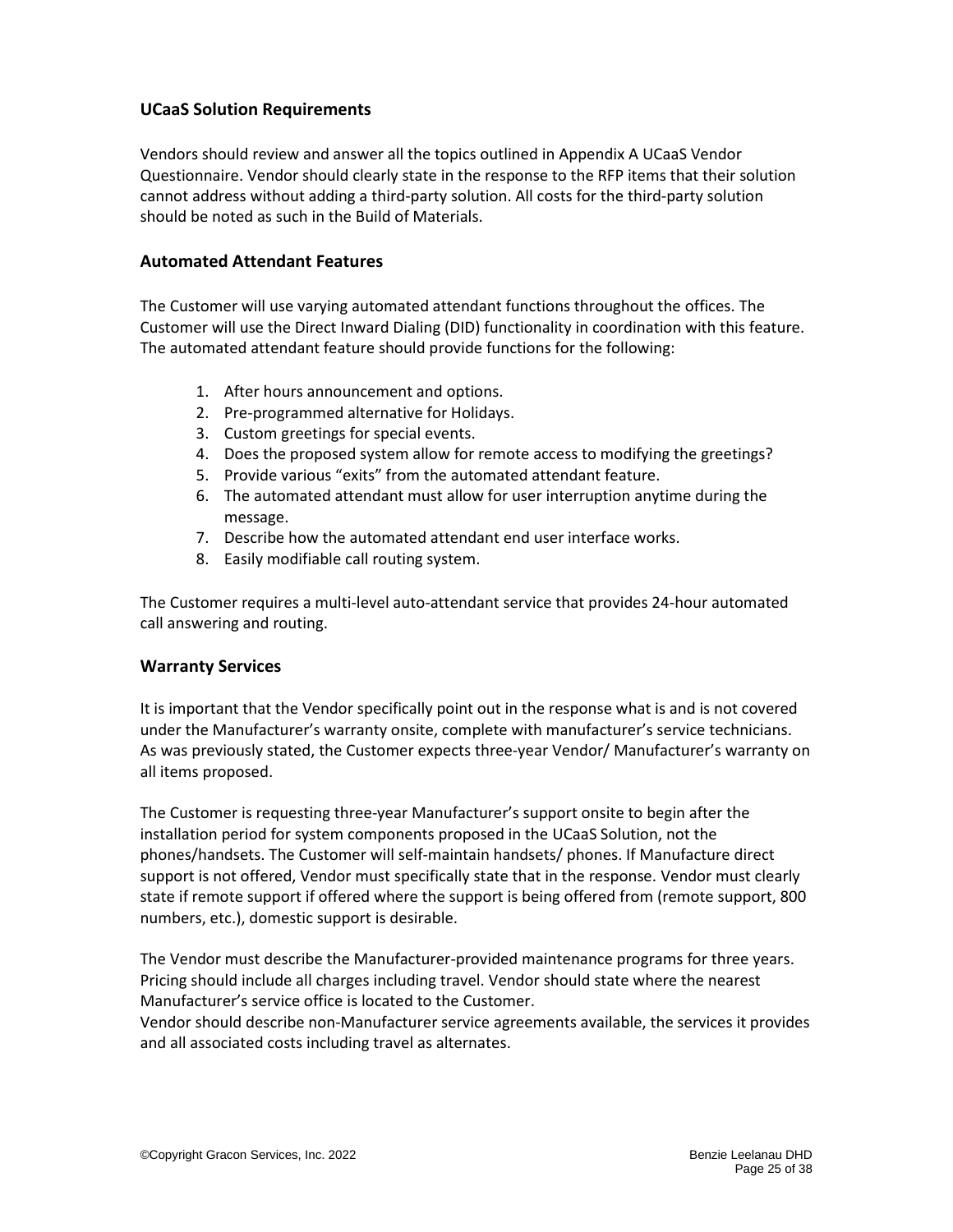#### **UCaaS Solution Requirements**

Vendors should review and answer all the topics outlined in Appendix A UCaaS Vendor Questionnaire. Vendor should clearly state in the response to the RFP items that their solution cannot address without adding a third-party solution. All costs for the third-party solution should be noted as such in the Build of Materials.

#### <span id="page-24-0"></span>**Automated Attendant Features**

The Customer will use varying automated attendant functions throughout the offices. The Customer will use the Direct Inward Dialing (DID) functionality in coordination with this feature. The automated attendant feature should provide functions for the following:

- 1. After hours announcement and options.
- 2. Pre-programmed alternative for Holidays.
- 3. Custom greetings for special events.
- 4. Does the proposed system allow for remote access to modifying the greetings?
- 5. Provide various "exits" from the automated attendant feature.
- 6. The automated attendant must allow for user interruption anytime during the message.
- 7. Describe how the automated attendant end user interface works.
- 8. Easily modifiable call routing system.

The Customer requires a multi-level auto-attendant service that provides 24-hour automated call answering and routing.

#### <span id="page-24-1"></span>**Warranty Services**

It is important that the Vendor specifically point out in the response what is and is not covered under the Manufacturer's warranty onsite, complete with manufacturer's service technicians. As was previously stated, the Customer expects three-year Vendor/ Manufacturer's warranty on all items proposed.

The Customer is requesting three-year Manufacturer's support onsite to begin after the installation period for system components proposed in the UCaaS Solution, not the phones/handsets. The Customer will self-maintain handsets/ phones. If Manufacture direct support is not offered, Vendor must specifically state that in the response. Vendor must clearly state if remote support if offered where the support is being offered from (remote support, 800 numbers, etc.), domestic support is desirable.

The Vendor must describe the Manufacturer-provided maintenance programs for three years. Pricing should include all charges including travel. Vendor should state where the nearest Manufacturer's service office is located to the Customer.

Vendor should describe non-Manufacturer service agreements available, the services it provides and all associated costs including travel as alternates.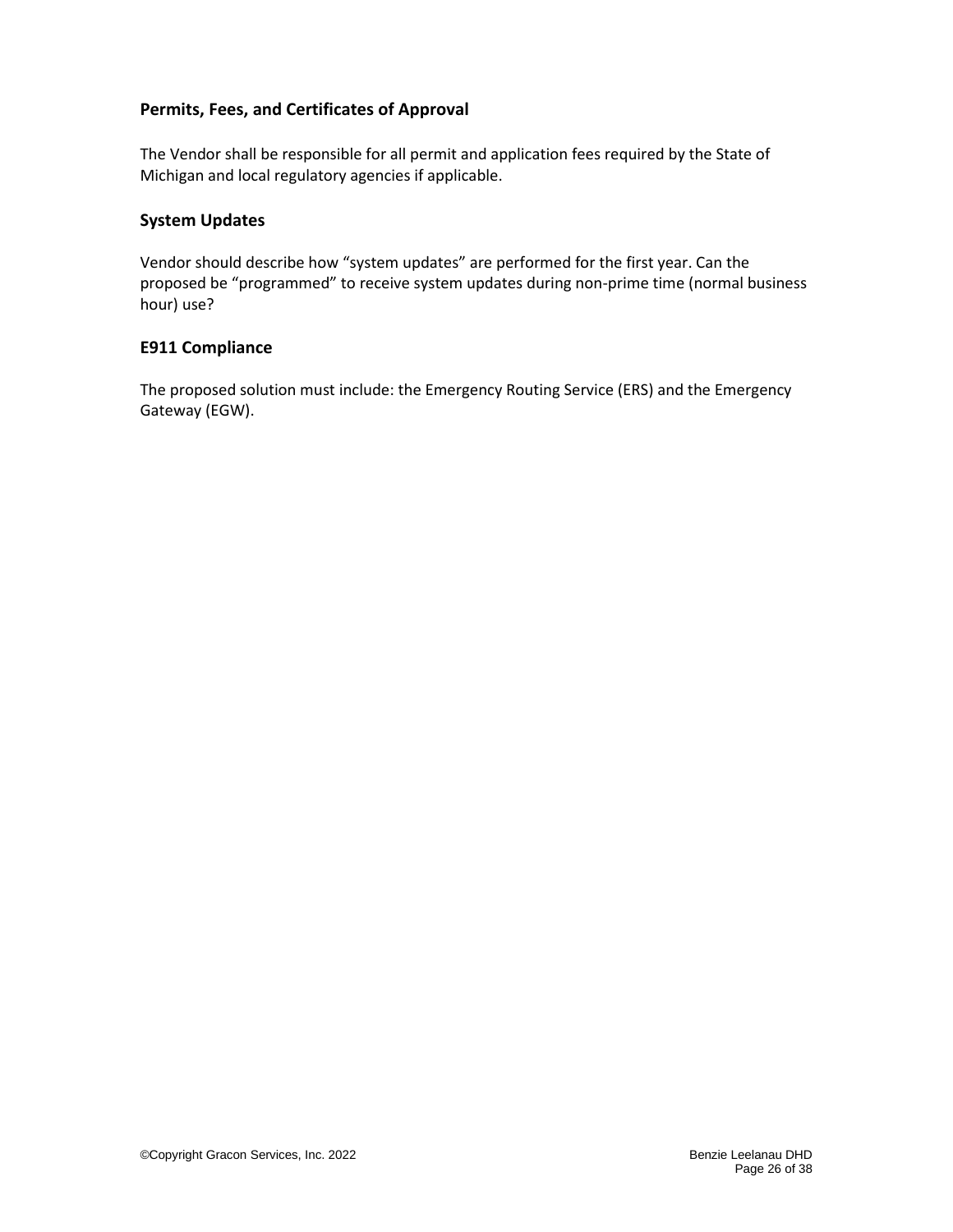#### **Permits, Fees, and Certificates of Approval**

The Vendor shall be responsible for all permit and application fees required by the State of Michigan and local regulatory agencies if applicable.

#### <span id="page-25-0"></span>**System Updates**

Vendor should describe how "system updates" are performed for the first year. Can the proposed be "programmed" to receive system updates during non-prime time (normal business hour) use?

#### <span id="page-25-1"></span>**E911 Compliance**

The proposed solution must include: the Emergency Routing Service (ERS) and the Emergency Gateway (EGW).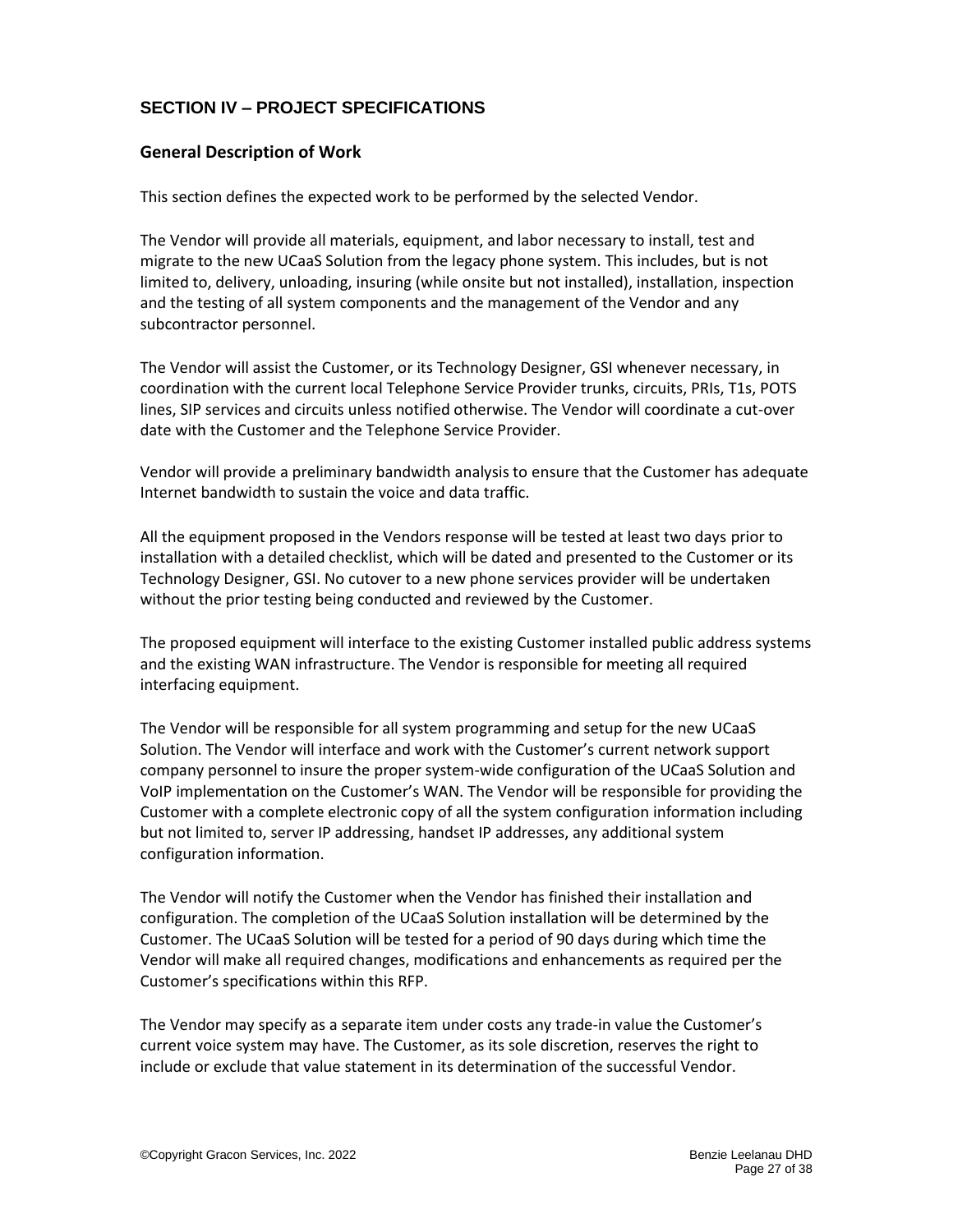# **SECTION IV – PROJECT SPECIFICATIONS**

### <span id="page-26-0"></span>**General Description of Work**

This section defines the expected work to be performed by the selected Vendor.

The Vendor will provide all materials, equipment, and labor necessary to install, test and migrate to the new UCaaS Solution from the legacy phone system. This includes, but is not limited to, delivery, unloading, insuring (while onsite but not installed), installation, inspection and the testing of all system components and the management of the Vendor and any subcontractor personnel.

The Vendor will assist the Customer, or its Technology Designer, GSI whenever necessary, in coordination with the current local Telephone Service Provider trunks, circuits, PRIs, T1s, POTS lines, SIP services and circuits unless notified otherwise. The Vendor will coordinate a cut-over date with the Customer and the Telephone Service Provider.

Vendor will provide a preliminary bandwidth analysis to ensure that the Customer has adequate Internet bandwidth to sustain the voice and data traffic.

All the equipment proposed in the Vendors response will be tested at least two days prior to installation with a detailed checklist, which will be dated and presented to the Customer or its Technology Designer, GSI. No cutover to a new phone services provider will be undertaken without the prior testing being conducted and reviewed by the Customer.

The proposed equipment will interface to the existing Customer installed public address systems and the existing WAN infrastructure. The Vendor is responsible for meeting all required interfacing equipment.

The Vendor will be responsible for all system programming and setup for the new UCaaS Solution. The Vendor will interface and work with the Customer's current network support company personnel to insure the proper system-wide configuration of the UCaaS Solution and VoIP implementation on the Customer's WAN. The Vendor will be responsible for providing the Customer with a complete electronic copy of all the system configuration information including but not limited to, server IP addressing, handset IP addresses, any additional system configuration information.

The Vendor will notify the Customer when the Vendor has finished their installation and configuration. The completion of the UCaaS Solution installation will be determined by the Customer. The UCaaS Solution will be tested for a period of 90 days during which time the Vendor will make all required changes, modifications and enhancements as required per the Customer's specifications within this RFP.

The Vendor may specify as a separate item under costs any trade-in value the Customer's current voice system may have. The Customer, as its sole discretion, reserves the right to include or exclude that value statement in its determination of the successful Vendor.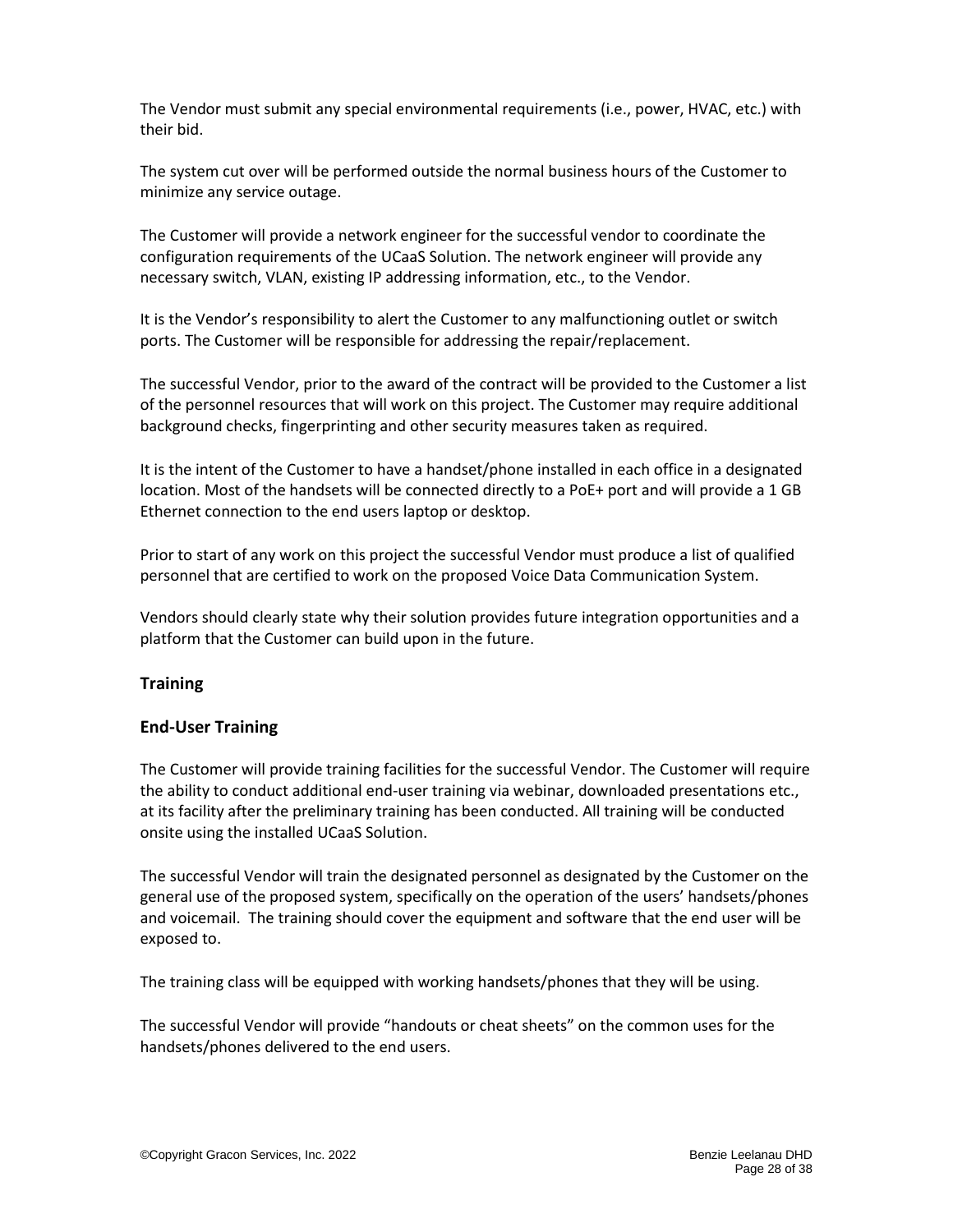The Vendor must submit any special environmental requirements (i.e., power, HVAC, etc.) with their bid.

The system cut over will be performed outside the normal business hours of the Customer to minimize any service outage.

The Customer will provide a network engineer for the successful vendor to coordinate the configuration requirements of the UCaaS Solution. The network engineer will provide any necessary switch, VLAN, existing IP addressing information, etc., to the Vendor.

It is the Vendor's responsibility to alert the Customer to any malfunctioning outlet or switch ports. The Customer will be responsible for addressing the repair/replacement.

The successful Vendor, prior to the award of the contract will be provided to the Customer a list of the personnel resources that will work on this project. The Customer may require additional background checks, fingerprinting and other security measures taken as required.

It is the intent of the Customer to have a handset/phone installed in each office in a designated location. Most of the handsets will be connected directly to a PoE+ port and will provide a 1 GB Ethernet connection to the end users laptop or desktop.

Prior to start of any work on this project the successful Vendor must produce a list of qualified personnel that are certified to work on the proposed Voice Data Communication System.

Vendors should clearly state why their solution provides future integration opportunities and a platform that the Customer can build upon in the future.

### <span id="page-27-0"></span>**Training**

#### <span id="page-27-1"></span>**End-User Training**

The Customer will provide training facilities for the successful Vendor. The Customer will require the ability to conduct additional end-user training via webinar, downloaded presentations etc., at its facility after the preliminary training has been conducted. All training will be conducted onsite using the installed UCaaS Solution.

The successful Vendor will train the designated personnel as designated by the Customer on the general use of the proposed system, specifically on the operation of the users' handsets/phones and voicemail. The training should cover the equipment and software that the end user will be exposed to.

The training class will be equipped with working handsets/phones that they will be using.

The successful Vendor will provide "handouts or cheat sheets" on the common uses for the handsets/phones delivered to the end users.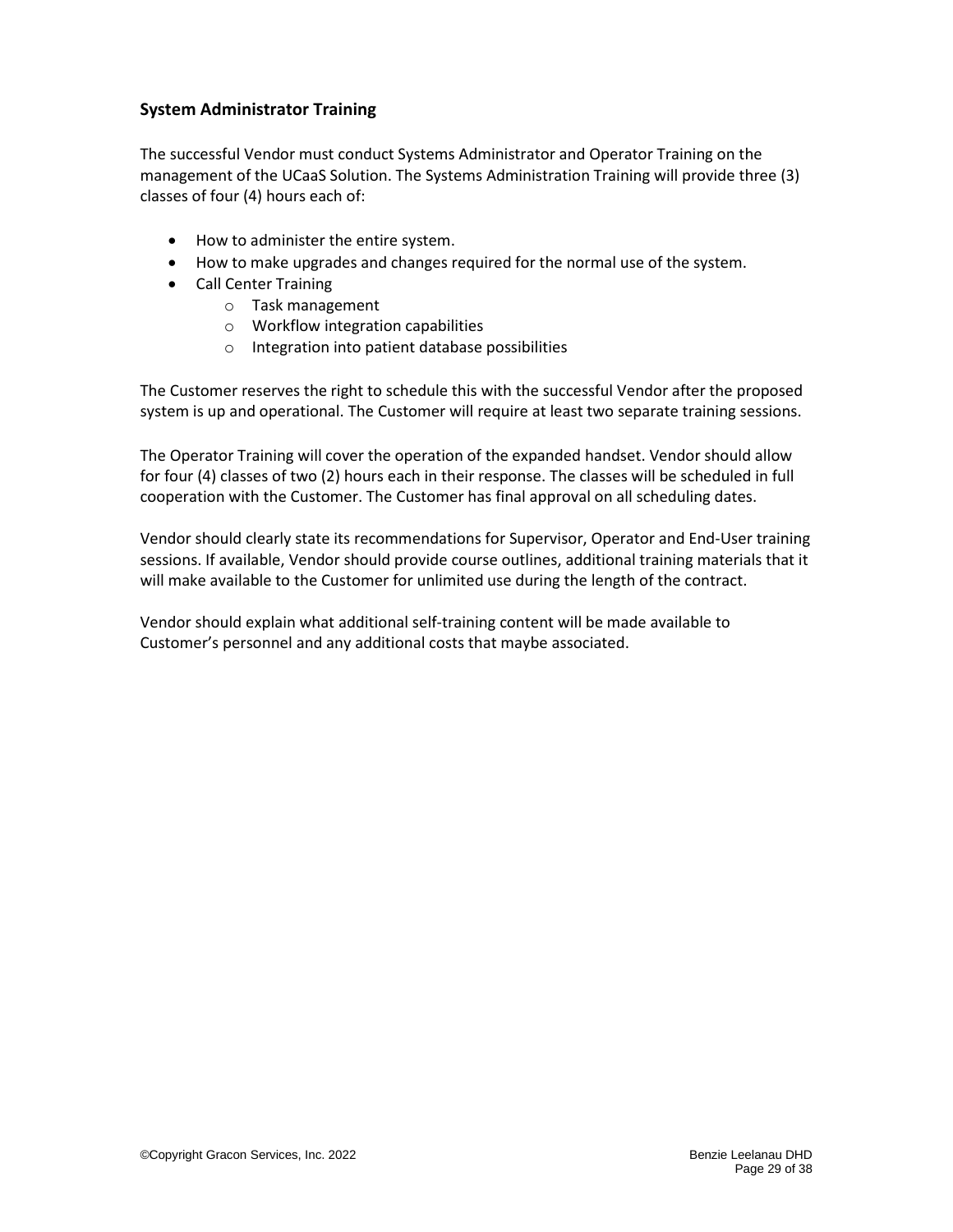#### <span id="page-28-0"></span>**System Administrator Training**

The successful Vendor must conduct Systems Administrator and Operator Training on the management of the UCaaS Solution. The Systems Administration Training will provide three (3) classes of four (4) hours each of:

- How to administer the entire system.
- How to make upgrades and changes required for the normal use of the system.
- Call Center Training
	- o Task management
	- o Workflow integration capabilities
	- o Integration into patient database possibilities

The Customer reserves the right to schedule this with the successful Vendor after the proposed system is up and operational. The Customer will require at least two separate training sessions.

The Operator Training will cover the operation of the expanded handset. Vendor should allow for four (4) classes of two (2) hours each in their response. The classes will be scheduled in full cooperation with the Customer. The Customer has final approval on all scheduling dates.

Vendor should clearly state its recommendations for Supervisor, Operator and End-User training sessions. If available, Vendor should provide course outlines, additional training materials that it will make available to the Customer for unlimited use during the length of the contract.

Vendor should explain what additional self-training content will be made available to Customer's personnel and any additional costs that maybe associated.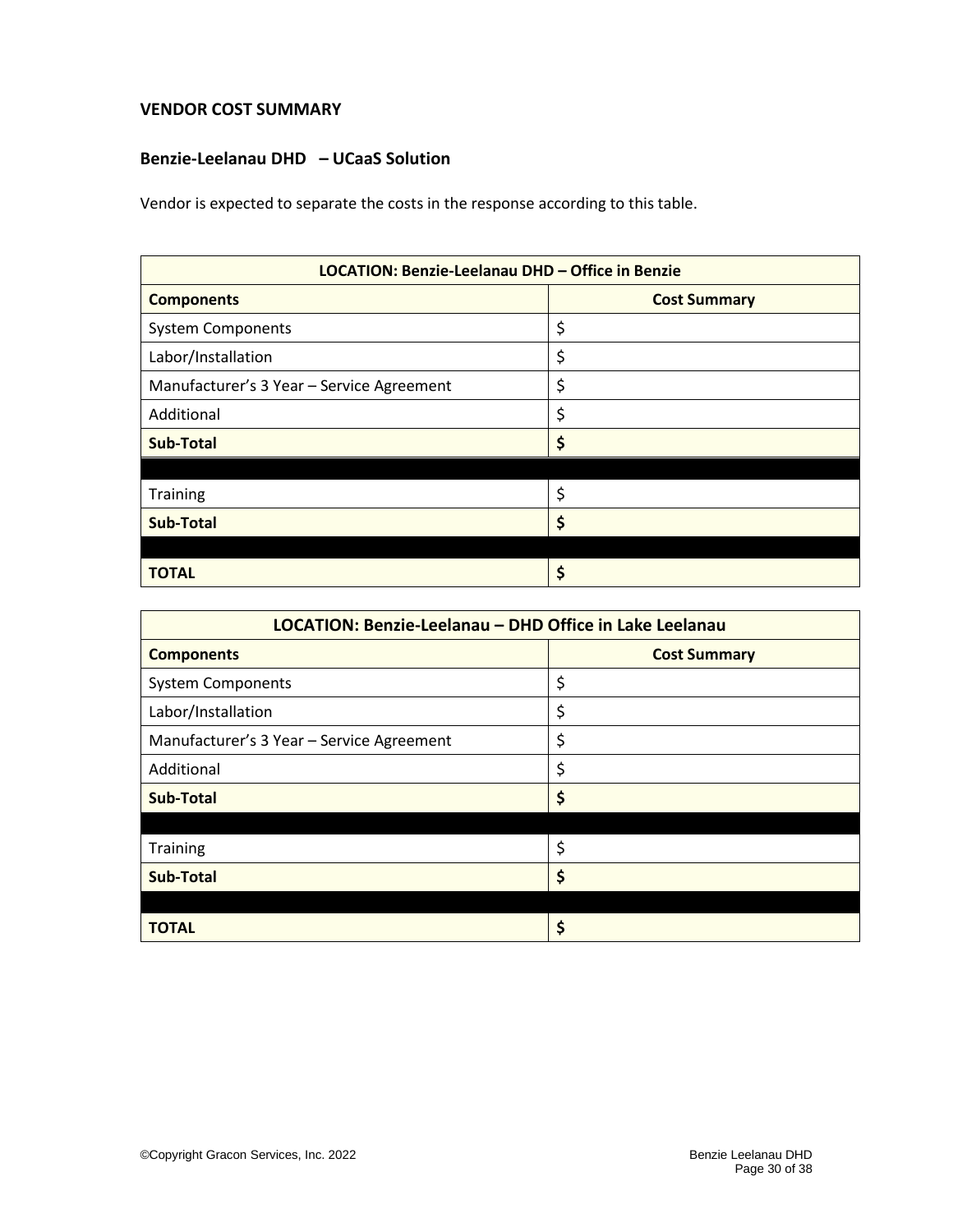#### <span id="page-29-0"></span>**VENDOR COST SUMMARY**

#### **Benzie-Leelanau DHD – UCaaS Solution**

Vendor is expected to separate the costs in the response according to this table.

| LOCATION: Benzie-Leelanau DHD - Office in Benzie |                     |  |
|--------------------------------------------------|---------------------|--|
| <b>Components</b>                                | <b>Cost Summary</b> |  |
| <b>System Components</b>                         | \$                  |  |
| Labor/Installation                               | \$                  |  |
| Manufacturer's 3 Year - Service Agreement        | \$                  |  |
| Additional                                       | \$                  |  |
| <b>Sub-Total</b>                                 | \$                  |  |
|                                                  |                     |  |
| Training                                         | \$                  |  |
| <b>Sub-Total</b>                                 | \$                  |  |
|                                                  |                     |  |
| <b>TOTAL</b>                                     | \$                  |  |

<span id="page-29-1"></span>

| LOCATION: Benzie-Leelanau - DHD Office in Lake Leelanau |                     |  |  |
|---------------------------------------------------------|---------------------|--|--|
| <b>Components</b>                                       | <b>Cost Summary</b> |  |  |
| <b>System Components</b>                                | \$                  |  |  |
| Labor/Installation                                      | \$                  |  |  |
| Manufacturer's 3 Year - Service Agreement               | \$                  |  |  |
| Additional                                              | \$                  |  |  |
| <b>Sub-Total</b>                                        | \$                  |  |  |
|                                                         |                     |  |  |
| Training                                                | \$                  |  |  |
| <b>Sub-Total</b>                                        | \$                  |  |  |
|                                                         |                     |  |  |
| TOTAL                                                   | \$                  |  |  |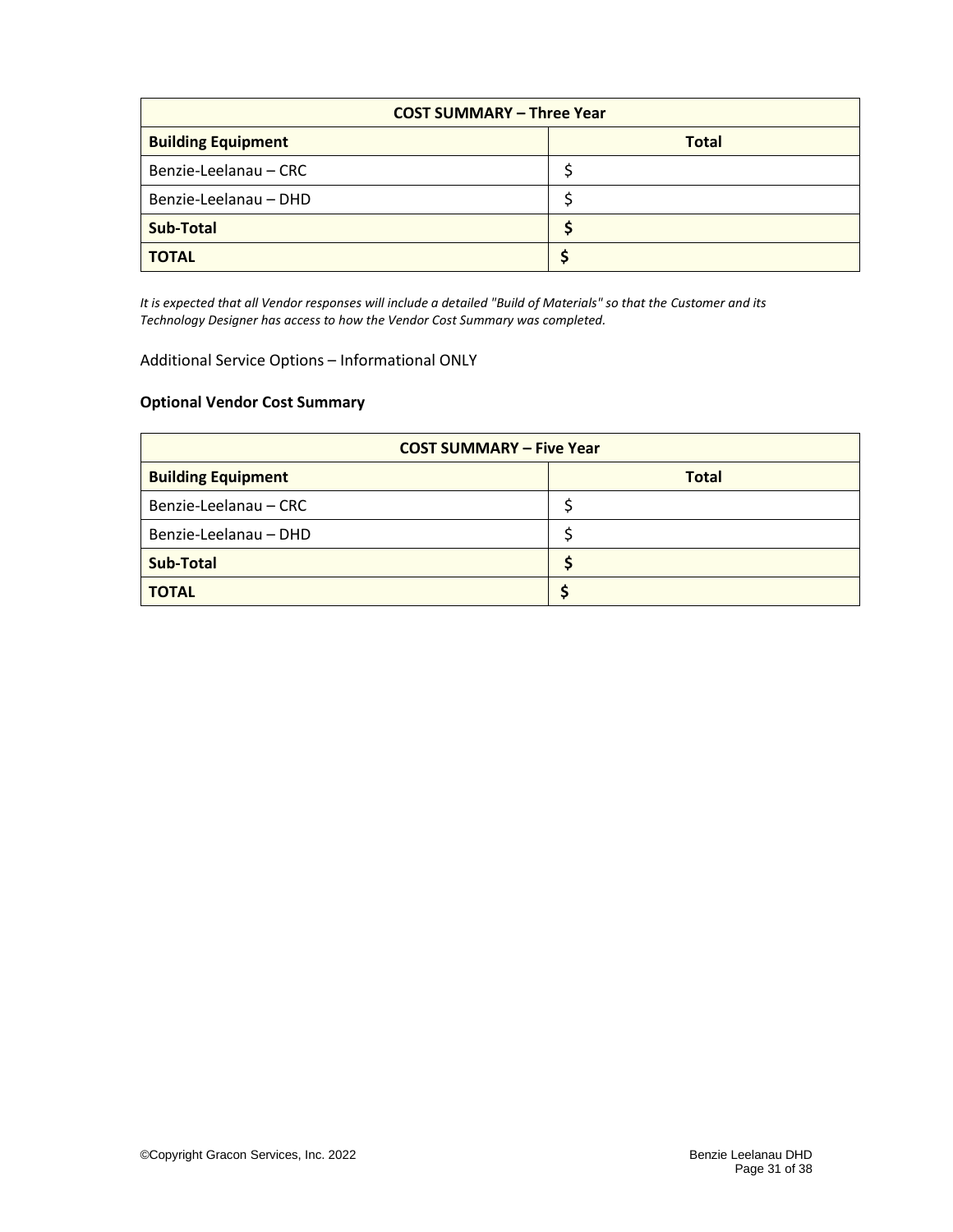| <b>COST SUMMARY - Three Year</b> |              |  |  |
|----------------------------------|--------------|--|--|
| <b>Building Equipment</b>        | <b>Total</b> |  |  |
| Benzie-Leelanau – CRC            |              |  |  |
| Benzie-Leelanau - DHD            |              |  |  |
| <b>Sub-Total</b>                 |              |  |  |
| <b>TOTAL</b>                     |              |  |  |

*It is expected that all Vendor responses will include a detailed "Build of Materials" so that the Customer and its Technology Designer has access to how the Vendor Cost Summary was completed.*

<span id="page-30-0"></span>Additional Service Options – Informational ONLY

#### **Optional Vendor Cost Summary**

| <b>COST SUMMARY - Five Year</b> |              |  |
|---------------------------------|--------------|--|
| <b>Building Equipment</b>       | <b>Total</b> |  |
| Benzie-Leelanau – CRC           |              |  |
| Benzie-Leelanau - DHD           |              |  |
| <b>Sub-Total</b>                |              |  |
| <b>TOTAL</b>                    |              |  |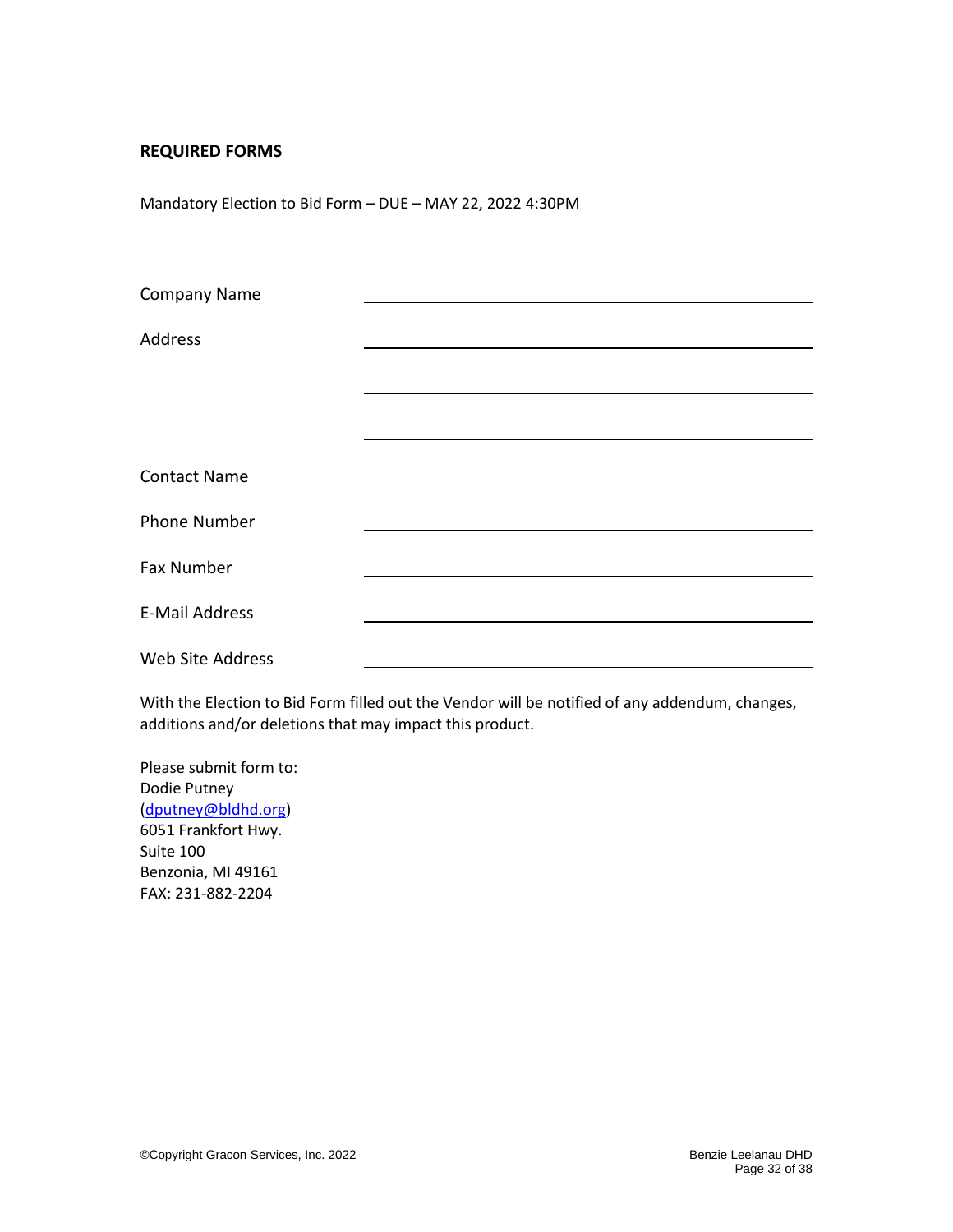#### <span id="page-31-0"></span>**REQUIRED FORMS**

<span id="page-31-1"></span>Mandatory Election to Bid Form – DUE – MAY 22, 2022 4:30PM

| <b>Company Name</b>   |  |  |
|-----------------------|--|--|
|                       |  |  |
| <b>Address</b>        |  |  |
|                       |  |  |
|                       |  |  |
|                       |  |  |
| <b>Contact Name</b>   |  |  |
|                       |  |  |
| <b>Phone Number</b>   |  |  |
| Fax Number            |  |  |
|                       |  |  |
| <b>E-Mail Address</b> |  |  |
| Web Site Address      |  |  |

With the Election to Bid Form filled out the Vendor will be notified of any addendum, changes, additions and/or deletions that may impact this product.

Please submit form to: Dodie Putney [\(dputney@bldhd.org\)](mailto:dputney@bldhd.org) 6051 Frankfort Hwy. Suite 100 Benzonia, MI 49161 FAX: 231-882-2204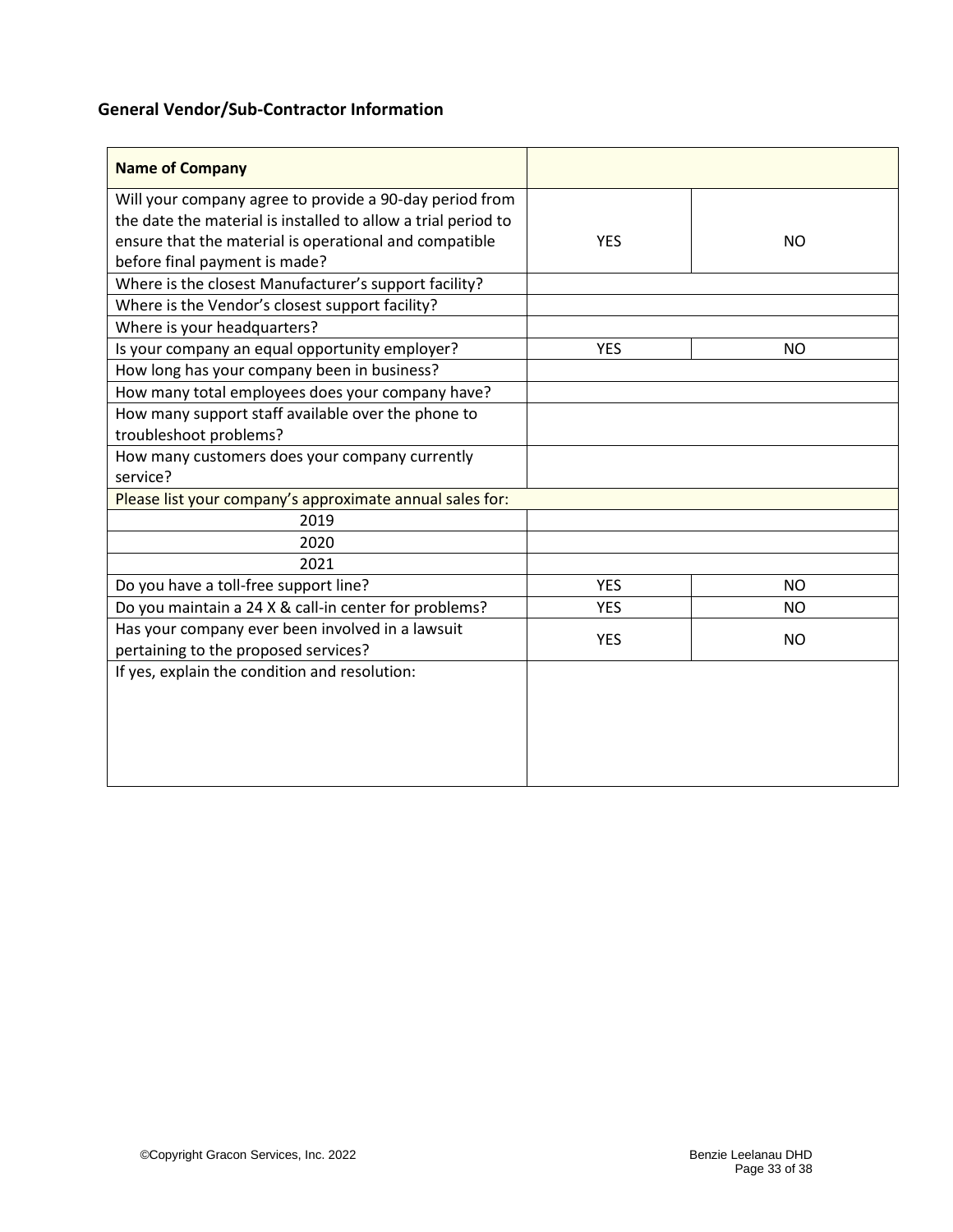# <span id="page-32-0"></span>**General Vendor/Sub-Contractor Information**

| <b>Name of Company</b>                                        |            |           |
|---------------------------------------------------------------|------------|-----------|
| Will your company agree to provide a 90-day period from       |            |           |
| the date the material is installed to allow a trial period to |            |           |
| ensure that the material is operational and compatible        | <b>YES</b> | NO.       |
| before final payment is made?                                 |            |           |
| Where is the closest Manufacturer's support facility?         |            |           |
| Where is the Vendor's closest support facility?               |            |           |
| Where is your headquarters?                                   |            |           |
| Is your company an equal opportunity employer?                | <b>YES</b> | NO.       |
| How long has your company been in business?                   |            |           |
| How many total employees does your company have?              |            |           |
| How many support staff available over the phone to            |            |           |
| troubleshoot problems?                                        |            |           |
| How many customers does your company currently                |            |           |
| service?                                                      |            |           |
| Please list your company's approximate annual sales for:      |            |           |
| 2019                                                          |            |           |
| 2020                                                          |            |           |
| 2021                                                          |            |           |
| Do you have a toll-free support line?                         | <b>YES</b> | <b>NO</b> |
| Do you maintain a 24 X & call-in center for problems?         | <b>YES</b> | NO.       |
| Has your company ever been involved in a lawsuit              | <b>YES</b> | NO.       |
| pertaining to the proposed services?                          |            |           |
| If yes, explain the condition and resolution:                 |            |           |
|                                                               |            |           |
|                                                               |            |           |
|                                                               |            |           |
|                                                               |            |           |
|                                                               |            |           |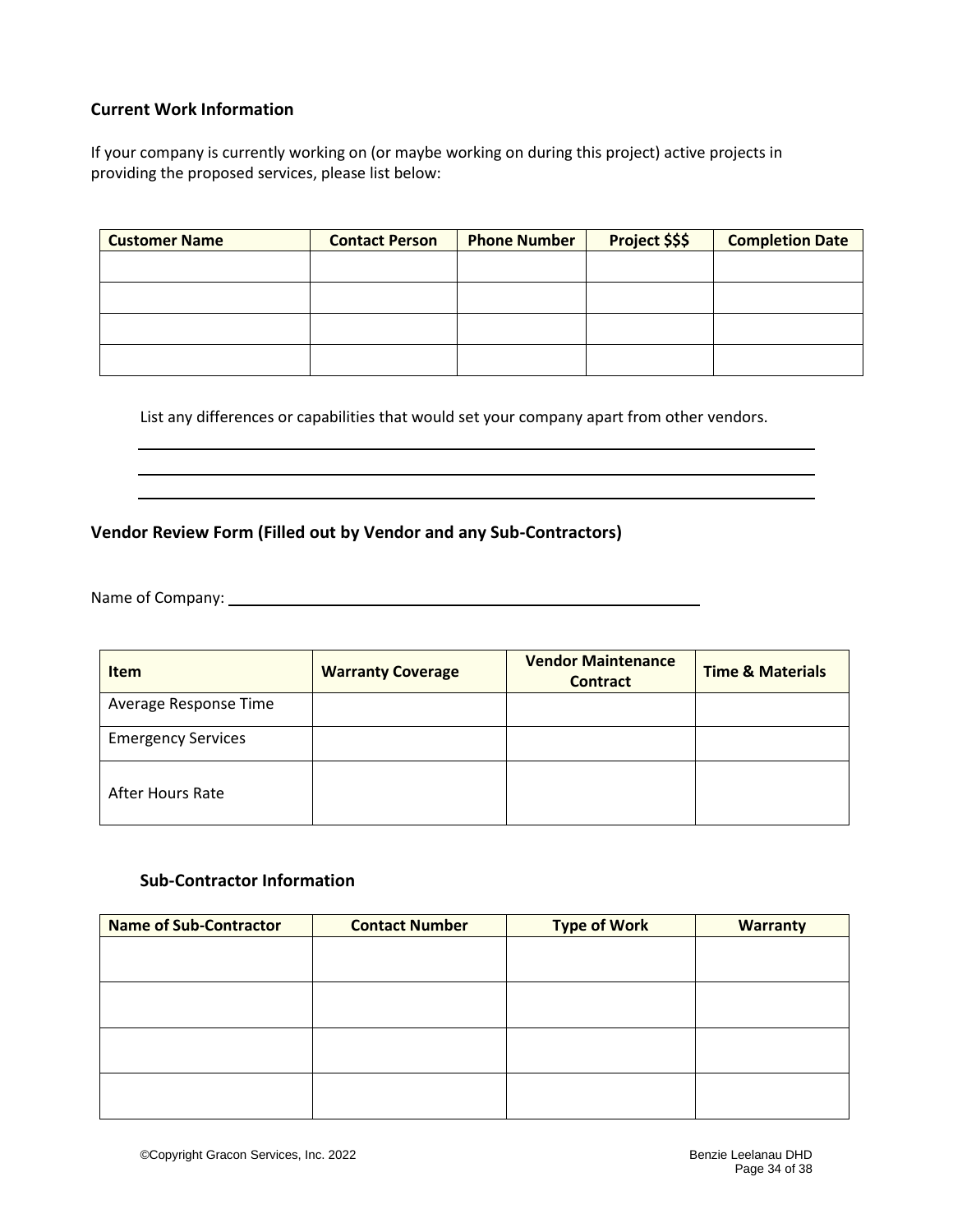#### <span id="page-33-0"></span>**Current Work Information**

If your company is currently working on (or maybe working on during this project) active projects in providing the proposed services, please list below:

| <b>Customer Name</b> | <b>Contact Person</b> | <b>Phone Number</b> | Project \$\$\$ | <b>Completion Date</b> |
|----------------------|-----------------------|---------------------|----------------|------------------------|
|                      |                       |                     |                |                        |
|                      |                       |                     |                |                        |
|                      |                       |                     |                |                        |
|                      |                       |                     |                |                        |

List any differences or capabilities that would set your company apart from other vendors.

### <span id="page-33-1"></span>**Vendor Review Form (Filled out by Vendor and any Sub-Contractors)**

Name of Company: Name of Company:

| <b>Item</b>               | <b>Warranty Coverage</b> | <b>Vendor Maintenance</b><br><b>Contract</b> | <b>Time &amp; Materials</b> |
|---------------------------|--------------------------|----------------------------------------------|-----------------------------|
| Average Response Time     |                          |                                              |                             |
| <b>Emergency Services</b> |                          |                                              |                             |
| After Hours Rate          |                          |                                              |                             |

#### <span id="page-33-2"></span>**Sub-Contractor Information**

| <b>Name of Sub-Contractor</b> | <b>Contact Number</b> | <b>Type of Work</b> | <b>Warranty</b> |
|-------------------------------|-----------------------|---------------------|-----------------|
|                               |                       |                     |                 |
|                               |                       |                     |                 |
|                               |                       |                     |                 |
|                               |                       |                     |                 |
|                               |                       |                     |                 |
|                               |                       |                     |                 |
|                               |                       |                     |                 |
|                               |                       |                     |                 |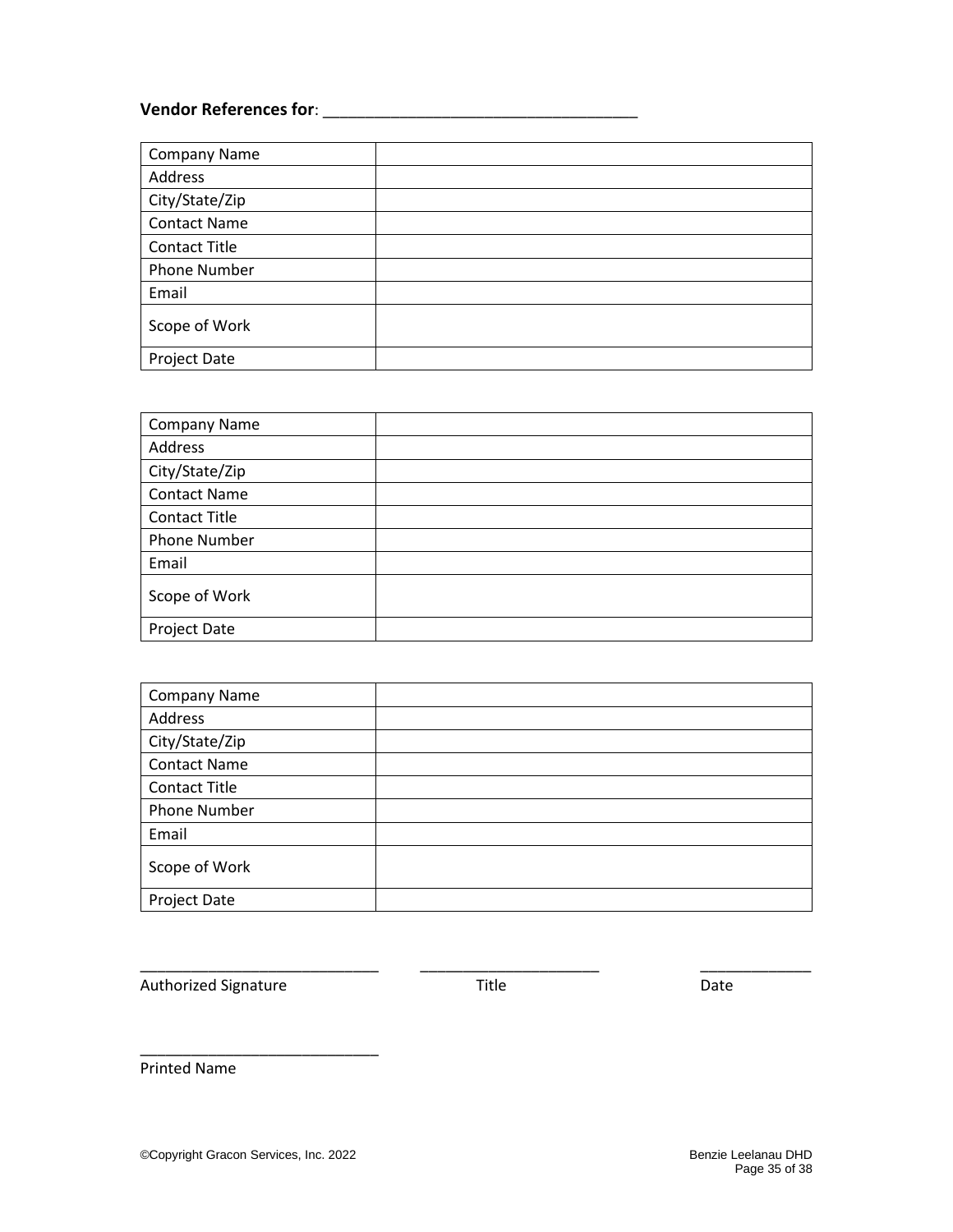# **Vendor References for**: \_\_\_\_\_\_\_\_\_\_\_\_\_\_\_\_\_\_\_\_\_\_\_\_\_\_\_\_\_\_\_\_\_\_\_\_\_

| <b>Company Name</b>  |  |
|----------------------|--|
| Address              |  |
| City/State/Zip       |  |
| <b>Contact Name</b>  |  |
| <b>Contact Title</b> |  |
| <b>Phone Number</b>  |  |
| Email                |  |
| Scope of Work        |  |
| Project Date         |  |

| <b>Company Name</b>  |  |
|----------------------|--|
| Address              |  |
| City/State/Zip       |  |
| <b>Contact Name</b>  |  |
| <b>Contact Title</b> |  |
| Phone Number         |  |
| Email                |  |
| Scope of Work        |  |
| Project Date         |  |

| Company Name         |  |
|----------------------|--|
| Address              |  |
| City/State/Zip       |  |
| <b>Contact Name</b>  |  |
| <b>Contact Title</b> |  |
| Phone Number         |  |
| Email                |  |
| Scope of Work        |  |
| Project Date         |  |

Authorized Signature **Authorized Signature Contract Contract Contract Contract Contract Contract Contract Contract Contract Contract Contract Contract Contract Contract Contract Contract Contract Contract Contract Contra** 

\_\_\_\_\_\_\_\_\_\_\_\_\_\_\_\_\_\_\_\_\_\_\_\_\_\_\_\_ \_\_\_\_\_\_\_\_\_\_\_\_\_\_\_\_\_\_\_\_\_ \_\_\_\_\_\_\_\_\_\_\_\_\_

Printed Name

\_\_\_\_\_\_\_\_\_\_\_\_\_\_\_\_\_\_\_\_\_\_\_\_\_\_\_\_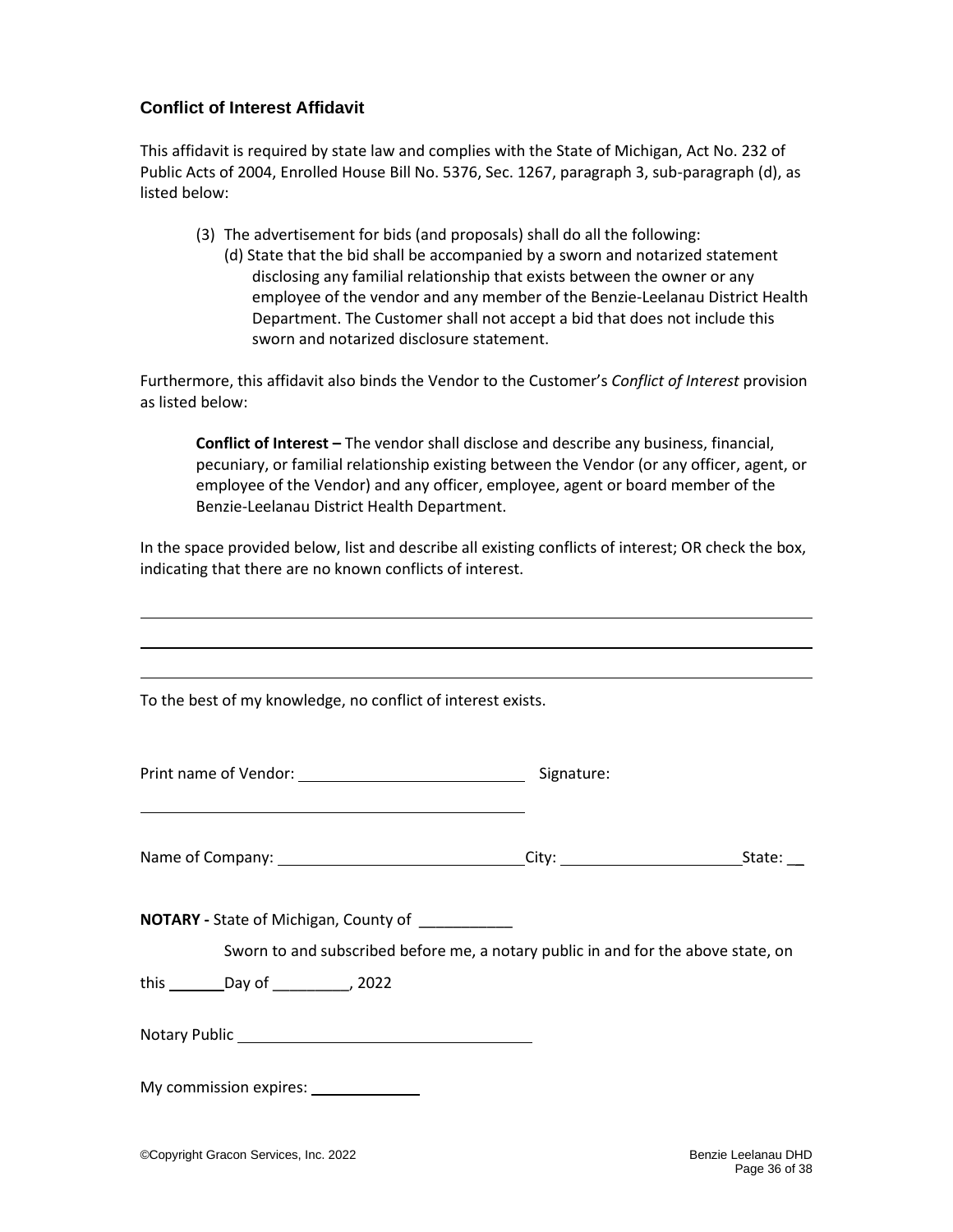### **Conflict of Interest Affidavit**

This affidavit is required by state law and complies with the State of Michigan, Act No. 232 of Public Acts of 2004, Enrolled House Bill No. 5376, Sec. 1267, paragraph 3, sub-paragraph (d), as listed below:

- (3) The advertisement for bids (and proposals) shall do all the following:
	- (d) State that the bid shall be accompanied by a sworn and notarized statement disclosing any familial relationship that exists between the owner or any employee of the vendor and any member of the Benzie-Leelanau District Health Department. The Customer shall not accept a bid that does not include this sworn and notarized disclosure statement.

Furthermore, this affidavit also binds the Vendor to the Customer's *Conflict of Interest* provision as listed below:

**Conflict of Interest –** The vendor shall disclose and describe any business, financial, pecuniary, or familial relationship existing between the Vendor (or any officer, agent, or employee of the Vendor) and any officer, employee, agent or board member of the Benzie-Leelanau District Health Department.

In the space provided below, list and describe all existing conflicts of interest; OR check the box, indicating that there are no known conflicts of interest.

| To the best of my knowledge, no conflict of interest exists.                                                                                 |            |  |
|----------------------------------------------------------------------------------------------------------------------------------------------|------------|--|
|                                                                                                                                              |            |  |
|                                                                                                                                              | Signature: |  |
| and the control of the control of the control of the control of the control of the control of the control of the                             |            |  |
| Name of Company: ________________________________City: _________________________State: __                                                    |            |  |
| <b>NOTARY</b> - State of Michigan, County of __________<br>Sworn to and subscribed before me, a notary public in and for the above state, on |            |  |
| this _________Day of ____________, 2022                                                                                                      |            |  |
|                                                                                                                                              |            |  |
| My commission expires: _______________                                                                                                       |            |  |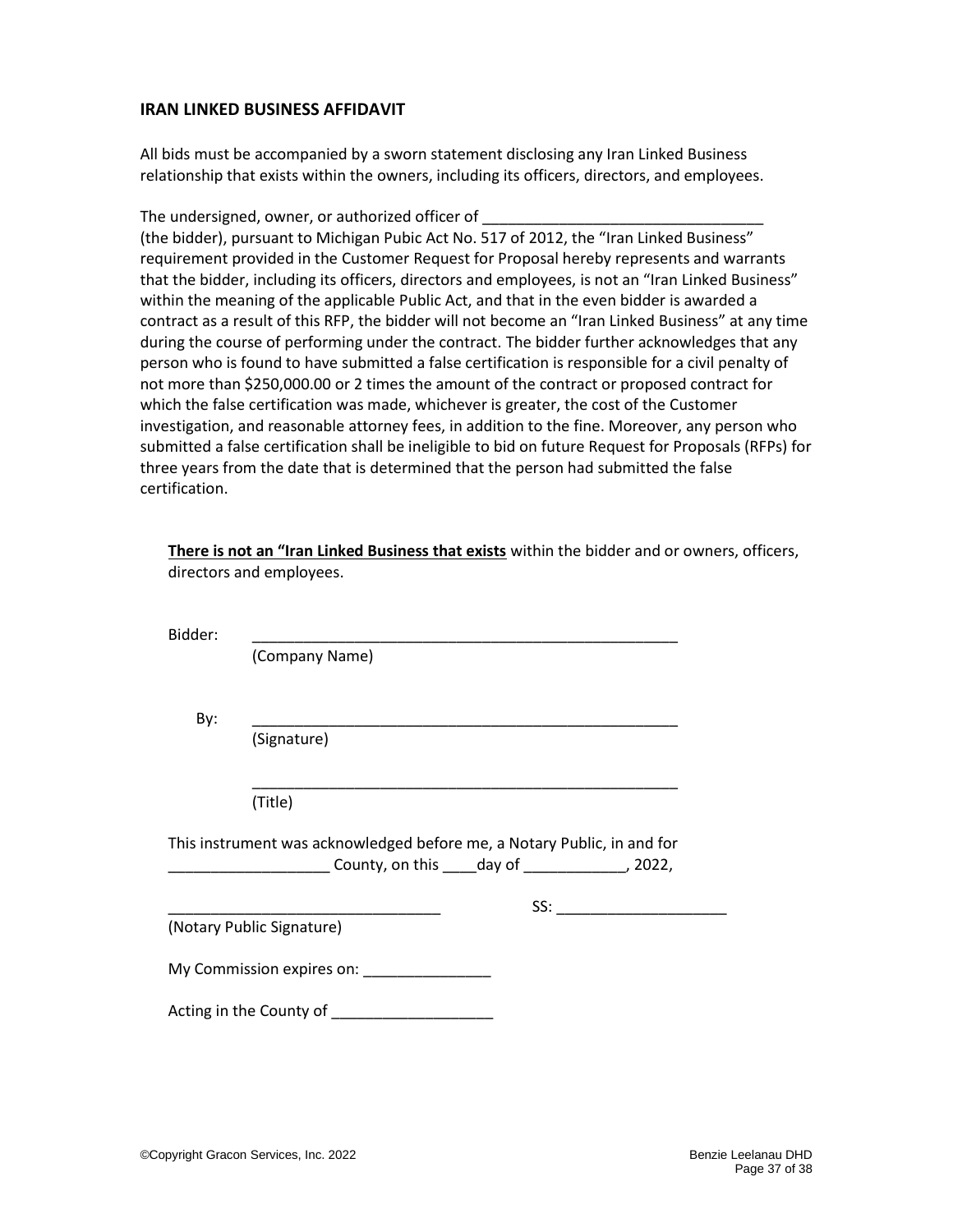#### <span id="page-36-0"></span>**IRAN LINKED BUSINESS AFFIDAVIT**

All bids must be accompanied by a sworn statement disclosing any Iran Linked Business relationship that exists within the owners, including its officers, directors, and employees.

The undersigned, owner, or authorized officer of

(the bidder), pursuant to Michigan Pubic Act No. 517 of 2012, the "Iran Linked Business" requirement provided in the Customer Request for Proposal hereby represents and warrants that the bidder, including its officers, directors and employees, is not an "Iran Linked Business" within the meaning of the applicable Public Act, and that in the even bidder is awarded a contract as a result of this RFP, the bidder will not become an "Iran Linked Business" at any time during the course of performing under the contract. The bidder further acknowledges that any person who is found to have submitted a false certification is responsible for a civil penalty of not more than \$250,000.00 or 2 times the amount of the contract or proposed contract for which the false certification was made, whichever is greater, the cost of the Customer investigation, and reasonable attorney fees, in addition to the fine. Moreover, any person who submitted a false certification shall be ineligible to bid on future Request for Proposals (RFPs) for three years from the date that is determined that the person had submitted the false certification.

|         | There is not an "Iran Linked Business that exists within the bidder and or owners, officers,<br>directors and employees.                                                                                                                                                                                                                                                                     |
|---------|----------------------------------------------------------------------------------------------------------------------------------------------------------------------------------------------------------------------------------------------------------------------------------------------------------------------------------------------------------------------------------------------|
| Bidder: | <u> 1989 - Johann Stoff, amerikansk politiker (d. 1989)</u>                                                                                                                                                                                                                                                                                                                                  |
|         | (Company Name)                                                                                                                                                                                                                                                                                                                                                                               |
| By:     | <u> 1989 - Johann John Stone, markin film ar yn y brenin y brenin y brenin y brenin y brenin y brenin y brenin y</u>                                                                                                                                                                                                                                                                         |
|         | (Signature)                                                                                                                                                                                                                                                                                                                                                                                  |
|         | (Title)                                                                                                                                                                                                                                                                                                                                                                                      |
|         | This instrument was acknowledged before me, a Notary Public, in and for<br>_________________________County, on this _____day of _______________, 2022,                                                                                                                                                                                                                                       |
|         | $SS: \begin{tabular}{@{}c@{}} \hline \rule{0.2cm}{0.2cm} \rule{0.2cm}{0.2cm} \rule{0.2cm}{0.2cm} \rule{0.2cm}{0.2cm} \rule{0.2cm}{0.2cm} \rule{0.2cm}{0.2cm} \rule{0.2cm}{0.2cm} \rule{0.2cm}{0.2cm} \rule{0.2cm}{0.2cm} \rule{0.2cm}{0.2cm} \rule{0.2cm}{0.2cm} \rule{0.2cm}{0.2cm} \rule{0.2cm}{0.2cm} \rule{0.2cm}{0.2cm} \rule{0.2cm}{0.2cm} \rule{0.2cm}{$<br>(Notary Public Signature) |
|         | My Commission expires on: ________________                                                                                                                                                                                                                                                                                                                                                   |
|         | Acting in the County of ___________________                                                                                                                                                                                                                                                                                                                                                  |